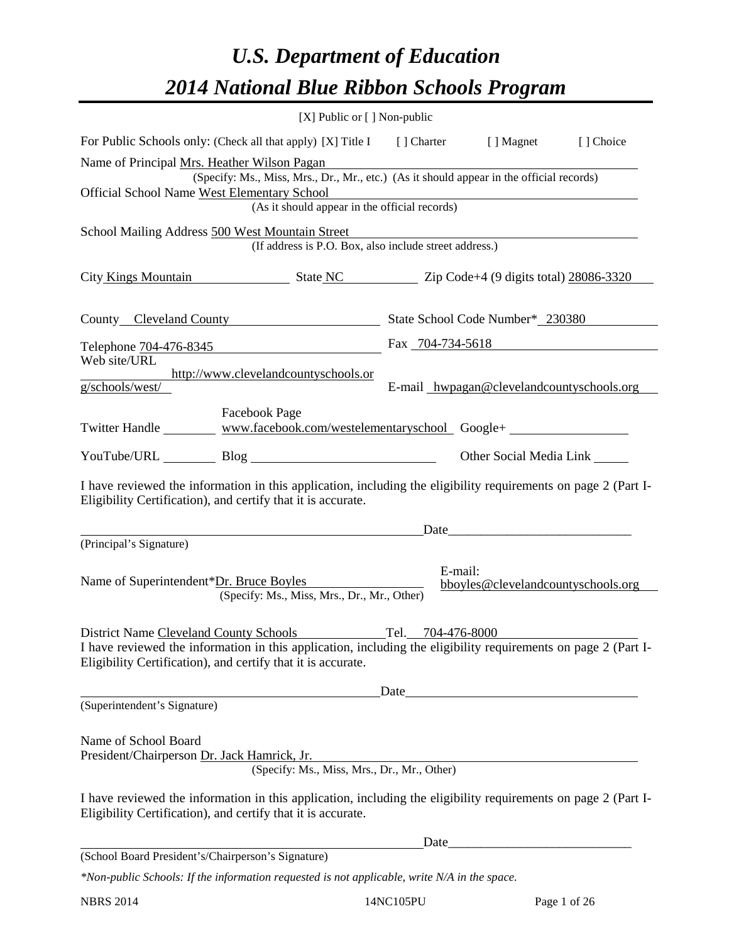# *U.S. Department of Education 2014 National Blue Ribbon Schools Program*

|                                                                                                                                                                                                                                 | [X] Public or [] Non-public                                 |                   |                                           |           |  |  |  |  |  |
|---------------------------------------------------------------------------------------------------------------------------------------------------------------------------------------------------------------------------------|-------------------------------------------------------------|-------------------|-------------------------------------------|-----------|--|--|--|--|--|
| For Public Schools only: (Check all that apply) [X] Title I [] Charter [] Magnet                                                                                                                                                |                                                             |                   |                                           | [] Choice |  |  |  |  |  |
| Name of Principal Mrs. Heather Wilson Pagan<br>(Specify: Ms., Miss, Mrs., Dr., Mr., etc.) (As it should appear in the official records)                                                                                         |                                                             |                   |                                           |           |  |  |  |  |  |
| Official School Name West Elementary School<br>(As it should appear in the official records)                                                                                                                                    |                                                             |                   |                                           |           |  |  |  |  |  |
| School Mailing Address 500 West Mountain Street                                                                                                                                                                                 | (If address is P.O. Box, also include street address.)      |                   |                                           |           |  |  |  |  |  |
| City Kings Mountain State NC Zip Code+4 (9 digits total) 28086-3320                                                                                                                                                             |                                                             |                   |                                           |           |  |  |  |  |  |
| County Cleveland County State School Code Number* 230380                                                                                                                                                                        |                                                             |                   |                                           |           |  |  |  |  |  |
| Telephone 704-476-8345<br>Fax 704-734-5618                                                                                                                                                                                      |                                                             |                   |                                           |           |  |  |  |  |  |
| Web site/URL<br>g/schools/west/                                                                                                                                                                                                 | http://www.clevelandcountyschools.or                        |                   | E-mail_hwpagan@clevelandcountyschools.org |           |  |  |  |  |  |
|                                                                                                                                                                                                                                 | <b>Facebook Page</b>                                        |                   |                                           |           |  |  |  |  |  |
| Twitter Handle __________ www.facebook.com/westelementaryschool_ Google+ ______________                                                                                                                                         |                                                             |                   |                                           |           |  |  |  |  |  |
| YouTube/URL Blog Blog                                                                                                                                                                                                           |                                                             |                   | Other Social Media Link                   |           |  |  |  |  |  |
| I have reviewed the information in this application, including the eligibility requirements on page 2 (Part I-<br>Eligibility Certification), and certify that it is accurate.                                                  |                                                             |                   |                                           |           |  |  |  |  |  |
|                                                                                                                                                                                                                                 |                                                             |                   | $\Box$ Date                               |           |  |  |  |  |  |
| (Principal's Signature)                                                                                                                                                                                                         |                                                             |                   |                                           |           |  |  |  |  |  |
| Name of Superintendent*Dr. Bruce Boyles                                                                                                                                                                                         | (Specify: Ms., Miss, Mrs., Dr., Mr., Other)                 | E-mail:           | bboyles@clevelandcountyschools.org        |           |  |  |  |  |  |
| <b>District Name Cleveland County Schools</b><br>I have reviewed the information in this application, including the eligibility requirements on page 2 (Part I-<br>Eligibility Certification), and certify that it is accurate. |                                                             | Tel. 704-476-8000 |                                           |           |  |  |  |  |  |
|                                                                                                                                                                                                                                 |                                                             |                   | Date                                      |           |  |  |  |  |  |
| (Superintendent's Signature)                                                                                                                                                                                                    |                                                             |                   |                                           |           |  |  |  |  |  |
| Name of School Board<br>President/Chairperson Dr. Jack Hamrick, Jr.                                                                                                                                                             | Hamrick, Jr.<br>(Specify: Ms., Miss, Mrs., Dr., Mr., Other) |                   |                                           |           |  |  |  |  |  |
| I have reviewed the information in this application, including the eligibility requirements on page 2 (Part I-<br>Eligibility Certification), and certify that it is accurate.                                                  |                                                             |                   |                                           |           |  |  |  |  |  |
|                                                                                                                                                                                                                                 |                                                             |                   |                                           |           |  |  |  |  |  |
| (School Board President's/Chairperson's Signature)                                                                                                                                                                              |                                                             |                   |                                           |           |  |  |  |  |  |
| *Non-public Schools: If the information requested is not applicable, write N/A in the space.                                                                                                                                    |                                                             |                   |                                           |           |  |  |  |  |  |

NBRS 2014 14NC105PU Page 1 of 26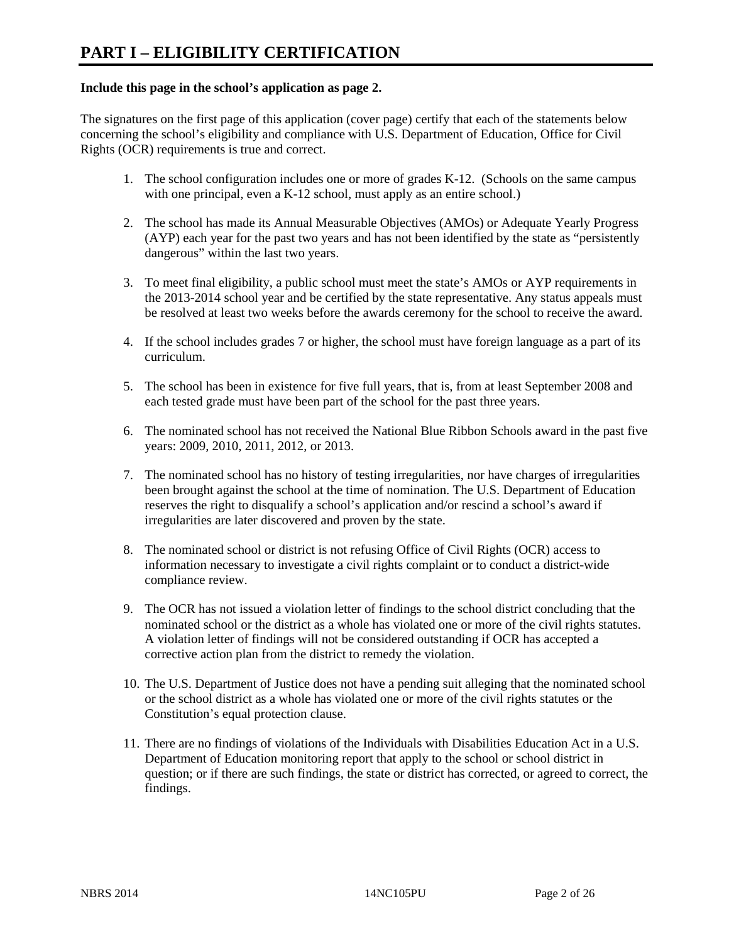#### **Include this page in the school's application as page 2.**

The signatures on the first page of this application (cover page) certify that each of the statements below concerning the school's eligibility and compliance with U.S. Department of Education, Office for Civil Rights (OCR) requirements is true and correct.

- 1. The school configuration includes one or more of grades K-12. (Schools on the same campus with one principal, even a K-12 school, must apply as an entire school.)
- 2. The school has made its Annual Measurable Objectives (AMOs) or Adequate Yearly Progress (AYP) each year for the past two years and has not been identified by the state as "persistently dangerous" within the last two years.
- 3. To meet final eligibility, a public school must meet the state's AMOs or AYP requirements in the 2013-2014 school year and be certified by the state representative. Any status appeals must be resolved at least two weeks before the awards ceremony for the school to receive the award.
- 4. If the school includes grades 7 or higher, the school must have foreign language as a part of its curriculum.
- 5. The school has been in existence for five full years, that is, from at least September 2008 and each tested grade must have been part of the school for the past three years.
- 6. The nominated school has not received the National Blue Ribbon Schools award in the past five years: 2009, 2010, 2011, 2012, or 2013.
- 7. The nominated school has no history of testing irregularities, nor have charges of irregularities been brought against the school at the time of nomination. The U.S. Department of Education reserves the right to disqualify a school's application and/or rescind a school's award if irregularities are later discovered and proven by the state.
- 8. The nominated school or district is not refusing Office of Civil Rights (OCR) access to information necessary to investigate a civil rights complaint or to conduct a district-wide compliance review.
- 9. The OCR has not issued a violation letter of findings to the school district concluding that the nominated school or the district as a whole has violated one or more of the civil rights statutes. A violation letter of findings will not be considered outstanding if OCR has accepted a corrective action plan from the district to remedy the violation.
- 10. The U.S. Department of Justice does not have a pending suit alleging that the nominated school or the school district as a whole has violated one or more of the civil rights statutes or the Constitution's equal protection clause.
- 11. There are no findings of violations of the Individuals with Disabilities Education Act in a U.S. Department of Education monitoring report that apply to the school or school district in question; or if there are such findings, the state or district has corrected, or agreed to correct, the findings.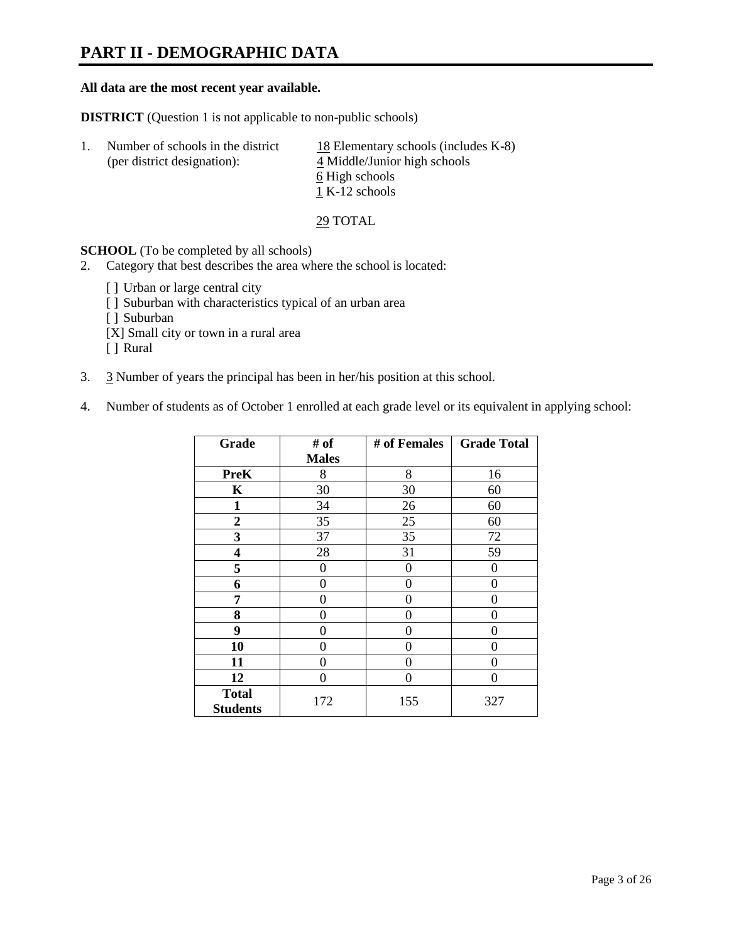# **PART II - DEMOGRAPHIC DATA**

#### **All data are the most recent year available.**

**DISTRICT** (Question 1 is not applicable to non-public schools)

| -1. | Number of schools in the district<br>(per district designation): | 18 Elementary schools (includes K-8)<br>4 Middle/Junior high schools<br>6 High schools<br>1 K-12 schools |
|-----|------------------------------------------------------------------|----------------------------------------------------------------------------------------------------------|
|     |                                                                  |                                                                                                          |

29 TOTAL

**SCHOOL** (To be completed by all schools)

- 2. Category that best describes the area where the school is located:
	- [] Urban or large central city
	- [ ] Suburban with characteristics typical of an urban area
	- [ ] Suburban
	- [X] Small city or town in a rural area
	- [ ] Rural
- 3. 3 Number of years the principal has been in her/his position at this school.
- 4. Number of students as of October 1 enrolled at each grade level or its equivalent in applying school:

| Grade                           | # of         | # of Females | <b>Grade Total</b> |
|---------------------------------|--------------|--------------|--------------------|
|                                 | <b>Males</b> |              |                    |
| <b>PreK</b>                     | 8            | 8            | 16                 |
| K                               | 30           | 30           | 60                 |
| $\mathbf{1}$                    | 34           | 26           | 60                 |
| $\boldsymbol{2}$                | 35           | 25           | 60                 |
| 3                               | 37           | 35           | 72                 |
| 4                               | 28           | 31           | 59                 |
| 5                               | 0            | $\theta$     | $\theta$           |
| 6                               | 0            | 0            | 0                  |
| 7                               | 0            | 0            | 0                  |
| 8                               | 0            | 0            | 0                  |
| 9                               | 0            | 0            | 0                  |
| 10                              | 0            | 0            | 0                  |
| 11                              | 0            | 0            | 0                  |
| 12                              | 0            | 0            | 0                  |
| <b>Total</b><br><b>Students</b> | 172          | 155          | 327                |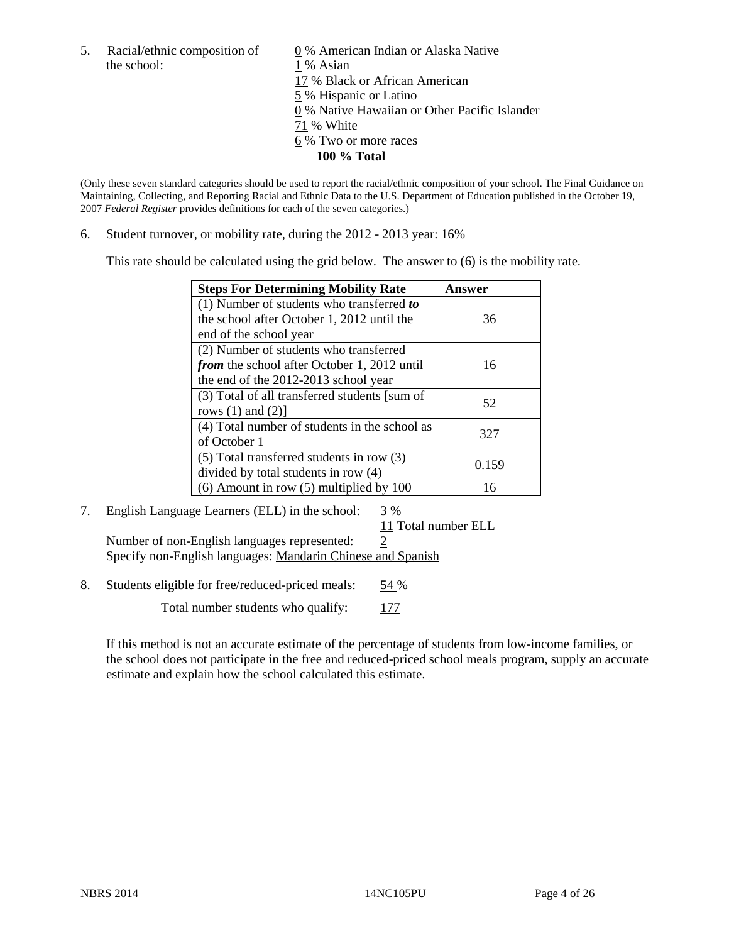the school: 1 % Asian

5. Racial/ethnic composition of  $\qquad \qquad \underline{0}$  % American Indian or Alaska Native 17 % Black or African American 5 % Hispanic or Latino 0 % Native Hawaiian or Other Pacific Islander 71 % White 6 % Two or more races **100 % Total** 

(Only these seven standard categories should be used to report the racial/ethnic composition of your school. The Final Guidance on Maintaining, Collecting, and Reporting Racial and Ethnic Data to the U.S. Department of Education published in the October 19, 2007 *Federal Register* provides definitions for each of the seven categories.)

6. Student turnover, or mobility rate, during the 2012 - 2013 year: 16%

This rate should be calculated using the grid below. The answer to (6) is the mobility rate.

| <b>Steps For Determining Mobility Rate</b>         | <b>Answer</b> |
|----------------------------------------------------|---------------|
| (1) Number of students who transferred to          |               |
| the school after October 1, 2012 until the         | 36            |
| end of the school year                             |               |
| (2) Number of students who transferred             |               |
| <i>from</i> the school after October 1, 2012 until | 16            |
| the end of the 2012-2013 school year               |               |
| (3) Total of all transferred students [sum of      | 52            |
| rows $(1)$ and $(2)$ ]                             |               |
| (4) Total number of students in the school as      | 327           |
| of October 1                                       |               |
| $(5)$ Total transferred students in row $(3)$      | 0.159         |
| divided by total students in row (4)               |               |
| $(6)$ Amount in row $(5)$ multiplied by 100        | 16            |

# 7. English Language Learners (ELL) in the school: 3 %

 11 Total number ELL Number of non-English languages represented: 2 Specify non-English languages: Mandarin Chinese and Spanish

8. Students eligible for free/reduced-priced meals: 54 %

Total number students who qualify: 177

If this method is not an accurate estimate of the percentage of students from low-income families, or the school does not participate in the free and reduced-priced school meals program, supply an accurate estimate and explain how the school calculated this estimate.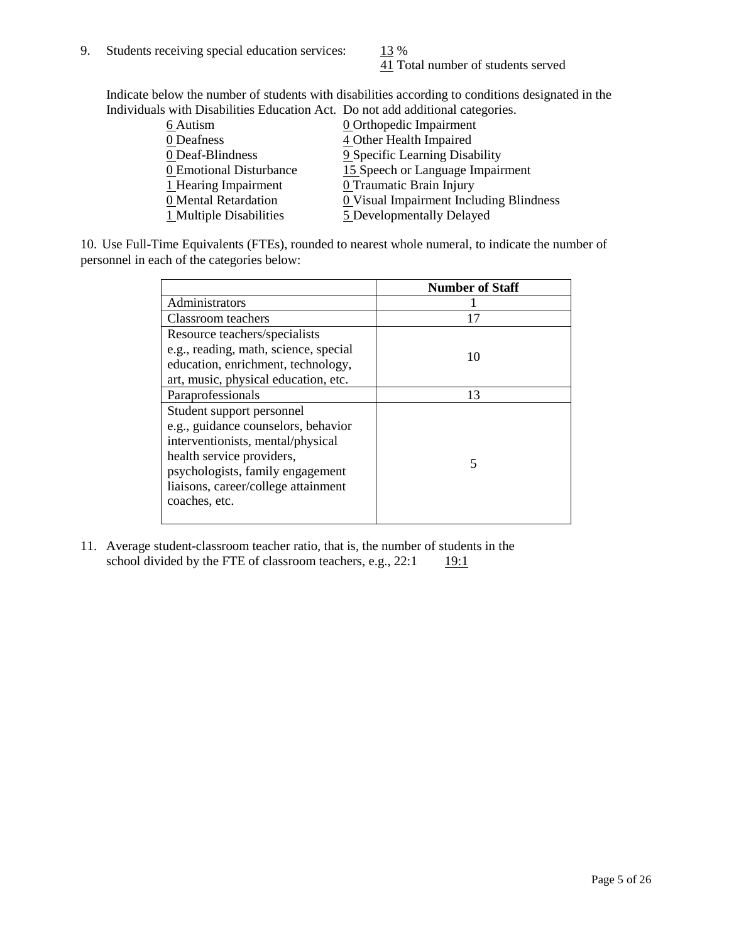41 Total number of students served

Indicate below the number of students with disabilities according to conditions designated in the Individuals with Disabilities Education Act. Do not add additional categories.

| marviaans with Disabilities Eaucation Feet. Do not aud auditional categories. |                                         |
|-------------------------------------------------------------------------------|-----------------------------------------|
| 6 Autism                                                                      | <b>0</b> Orthopedic Impairment          |
| 0 Deafness                                                                    | 4 Other Health Impaired                 |
| 0 Deaf-Blindness                                                              | 9 Specific Learning Disability          |
| 0 Emotional Disturbance                                                       | 15 Speech or Language Impairment        |
| 1 Hearing Impairment                                                          | 0 Traumatic Brain Injury                |
| 0 Mental Retardation                                                          | 0 Visual Impairment Including Blindness |
| 1 Multiple Disabilities                                                       | 5 Developmentally Delayed               |
|                                                                               |                                         |

10. Use Full-Time Equivalents (FTEs), rounded to nearest whole numeral, to indicate the number of personnel in each of the categories below:

|                                       | <b>Number of Staff</b> |
|---------------------------------------|------------------------|
| Administrators                        |                        |
| Classroom teachers                    | 17                     |
| Resource teachers/specialists         |                        |
| e.g., reading, math, science, special | 10                     |
| education, enrichment, technology,    |                        |
| art, music, physical education, etc.  |                        |
| Paraprofessionals                     | 13                     |
| Student support personnel             |                        |
| e.g., guidance counselors, behavior   |                        |
| interventionists, mental/physical     |                        |
| health service providers,             | 5                      |
| psychologists, family engagement      |                        |
| liaisons, career/college attainment   |                        |
| coaches, etc.                         |                        |
|                                       |                        |

11. Average student-classroom teacher ratio, that is, the number of students in the school divided by the FTE of classroom teachers, e.g.,  $22:1$  19:1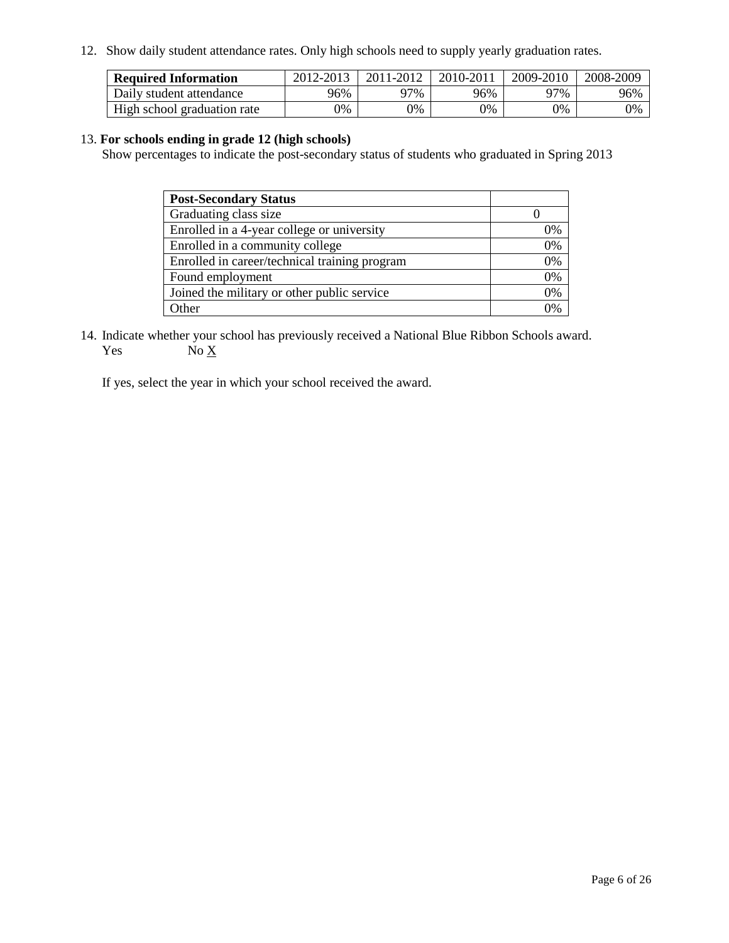12. Show daily student attendance rates. Only high schools need to supply yearly graduation rates.

| <b>Required Information</b> | 2012-2013 | 2011-2012 | 2010-2011 | 2009-2010 | 2008-2009 |
|-----------------------------|-----------|-----------|-----------|-----------|-----------|
| Daily student attendance    | 96%       | ገ7%       | 96%       | 97%       | 96%       |
| High school graduation rate | 0%        | 0%        | 0%        | 0%        | 0%        |

#### 13. **For schools ending in grade 12 (high schools)**

Show percentages to indicate the post-secondary status of students who graduated in Spring 2013

| <b>Post-Secondary Status</b>                  |    |
|-----------------------------------------------|----|
| Graduating class size                         |    |
| Enrolled in a 4-year college or university    | 0% |
| Enrolled in a community college               | 0% |
| Enrolled in career/technical training program | 0% |
| Found employment                              | 0% |
| Joined the military or other public service   | 0% |
| <b>Other</b>                                  | 2% |

14. Indicate whether your school has previously received a National Blue Ribbon Schools award. Yes  $No \underline{X}$ 

If yes, select the year in which your school received the award.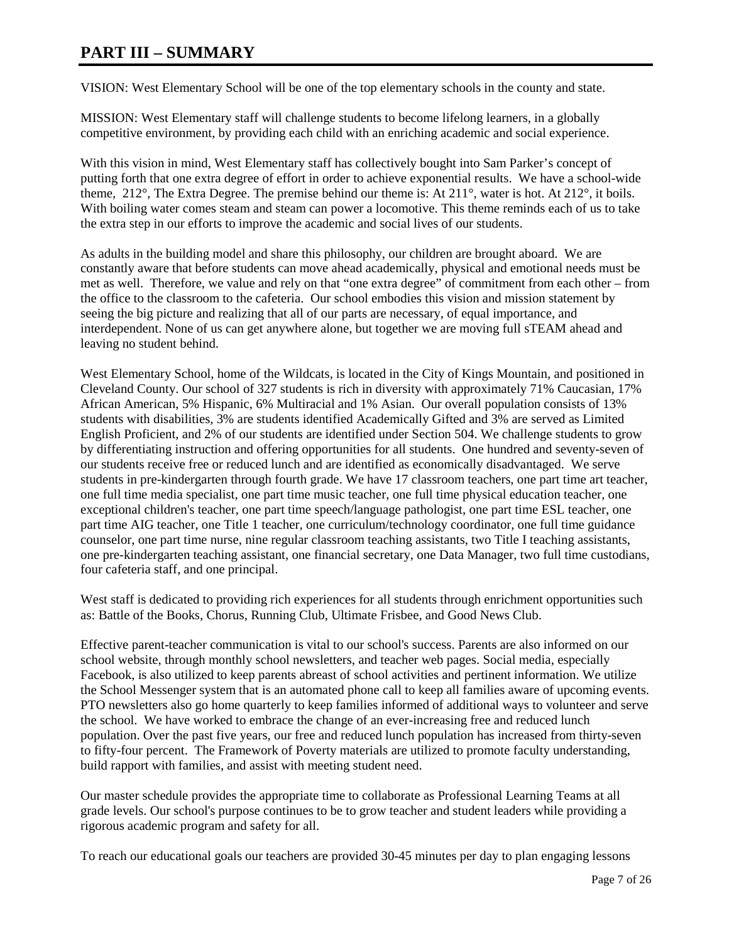# **PART III – SUMMARY**

VISION: West Elementary School will be one of the top elementary schools in the county and state.

MISSION: West Elementary staff will challenge students to become lifelong learners, in a globally competitive environment, by providing each child with an enriching academic and social experience.

With this vision in mind, West Elementary staff has collectively bought into Sam Parker's concept of putting forth that one extra degree of effort in order to achieve exponential results. We have a school-wide theme, 212°, The Extra Degree. The premise behind our theme is: At 211°, water is hot. At 212°, it boils. With boiling water comes steam and steam can power a locomotive. This theme reminds each of us to take the extra step in our efforts to improve the academic and social lives of our students.

As adults in the building model and share this philosophy, our children are brought aboard. We are constantly aware that before students can move ahead academically, physical and emotional needs must be met as well. Therefore, we value and rely on that "one extra degree" of commitment from each other – from the office to the classroom to the cafeteria. Our school embodies this vision and mission statement by seeing the big picture and realizing that all of our parts are necessary, of equal importance, and interdependent. None of us can get anywhere alone, but together we are moving full sTEAM ahead and leaving no student behind.

West Elementary School, home of the Wildcats, is located in the City of Kings Mountain, and positioned in Cleveland County. Our school of 327 students is rich in diversity with approximately 71% Caucasian, 17% African American, 5% Hispanic, 6% Multiracial and 1% Asian. Our overall population consists of 13% students with disabilities, 3% are students identified Academically Gifted and 3% are served as Limited English Proficient, and 2% of our students are identified under Section 504. We challenge students to grow by differentiating instruction and offering opportunities for all students. One hundred and seventy-seven of our students receive free or reduced lunch and are identified as economically disadvantaged. We serve students in pre-kindergarten through fourth grade. We have 17 classroom teachers, one part time art teacher, one full time media specialist, one part time music teacher, one full time physical education teacher, one exceptional children's teacher, one part time speech/language pathologist, one part time ESL teacher, one part time AIG teacher, one Title 1 teacher, one curriculum/technology coordinator, one full time guidance counselor, one part time nurse, nine regular classroom teaching assistants, two Title I teaching assistants, one pre-kindergarten teaching assistant, one financial secretary, one Data Manager, two full time custodians, four cafeteria staff, and one principal.

West staff is dedicated to providing rich experiences for all students through enrichment opportunities such as: Battle of the Books, Chorus, Running Club, Ultimate Frisbee, and Good News Club.

Effective parent-teacher communication is vital to our school's success. Parents are also informed on our school website, through monthly school newsletters, and teacher web pages. Social media, especially Facebook, is also utilized to keep parents abreast of school activities and pertinent information. We utilize the School Messenger system that is an automated phone call to keep all families aware of upcoming events. PTO newsletters also go home quarterly to keep families informed of additional ways to volunteer and serve the school. We have worked to embrace the change of an ever-increasing free and reduced lunch population. Over the past five years, our free and reduced lunch population has increased from thirty-seven to fifty-four percent. The Framework of Poverty materials are utilized to promote faculty understanding, build rapport with families, and assist with meeting student need.

Our master schedule provides the appropriate time to collaborate as Professional Learning Teams at all grade levels. Our school's purpose continues to be to grow teacher and student leaders while providing a rigorous academic program and safety for all.

To reach our educational goals our teachers are provided 30-45 minutes per day to plan engaging lessons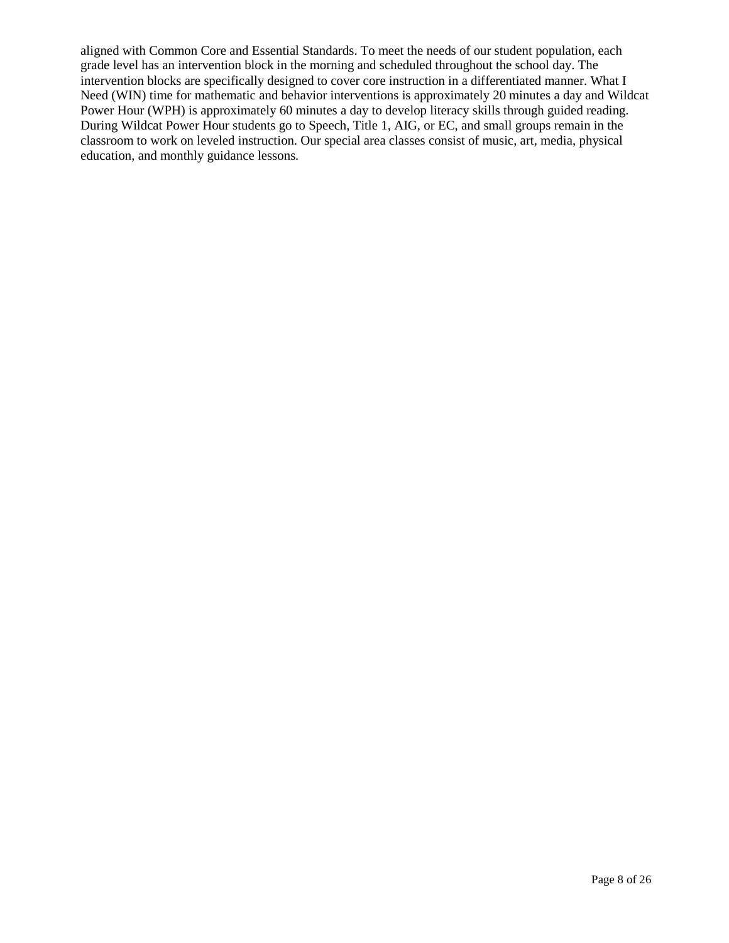aligned with Common Core and Essential Standards. To meet the needs of our student population, each grade level has an intervention block in the morning and scheduled throughout the school day. The intervention blocks are specifically designed to cover core instruction in a differentiated manner. What I Need (WIN) time for mathematic and behavior interventions is approximately 20 minutes a day and Wildcat Power Hour (WPH) is approximately 60 minutes a day to develop literacy skills through guided reading. During Wildcat Power Hour students go to Speech, Title 1, AIG, or EC, and small groups remain in the classroom to work on leveled instruction. Our special area classes consist of music, art, media, physical education, and monthly guidance lessons.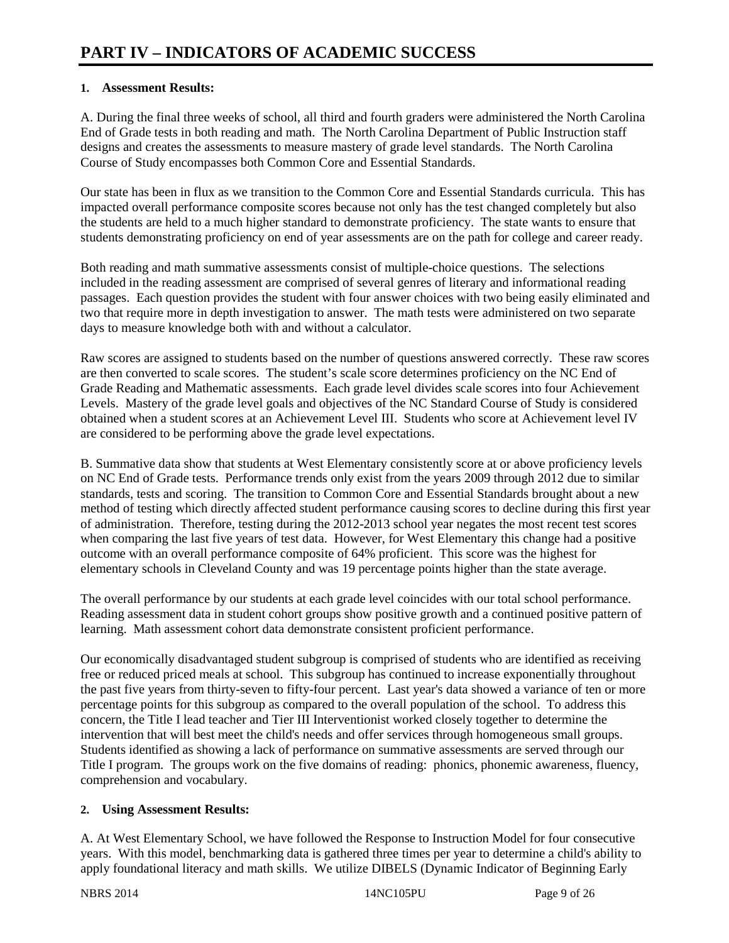### **1. Assessment Results:**

A. During the final three weeks of school, all third and fourth graders were administered the North Carolina End of Grade tests in both reading and math. The North Carolina Department of Public Instruction staff designs and creates the assessments to measure mastery of grade level standards. The North Carolina Course of Study encompasses both Common Core and Essential Standards.

Our state has been in flux as we transition to the Common Core and Essential Standards curricula. This has impacted overall performance composite scores because not only has the test changed completely but also the students are held to a much higher standard to demonstrate proficiency. The state wants to ensure that students demonstrating proficiency on end of year assessments are on the path for college and career ready.

Both reading and math summative assessments consist of multiple-choice questions. The selections included in the reading assessment are comprised of several genres of literary and informational reading passages. Each question provides the student with four answer choices with two being easily eliminated and two that require more in depth investigation to answer. The math tests were administered on two separate days to measure knowledge both with and without a calculator.

Raw scores are assigned to students based on the number of questions answered correctly. These raw scores are then converted to scale scores. The student's scale score determines proficiency on the NC End of Grade Reading and Mathematic assessments. Each grade level divides scale scores into four Achievement Levels. Mastery of the grade level goals and objectives of the NC Standard Course of Study is considered obtained when a student scores at an Achievement Level III. Students who score at Achievement level IV are considered to be performing above the grade level expectations.

B. Summative data show that students at West Elementary consistently score at or above proficiency levels on NC End of Grade tests. Performance trends only exist from the years 2009 through 2012 due to similar standards, tests and scoring. The transition to Common Core and Essential Standards brought about a new method of testing which directly affected student performance causing scores to decline during this first year of administration. Therefore, testing during the 2012-2013 school year negates the most recent test scores when comparing the last five years of test data. However, for West Elementary this change had a positive outcome with an overall performance composite of 64% proficient. This score was the highest for elementary schools in Cleveland County and was 19 percentage points higher than the state average.

The overall performance by our students at each grade level coincides with our total school performance. Reading assessment data in student cohort groups show positive growth and a continued positive pattern of learning. Math assessment cohort data demonstrate consistent proficient performance.

Our economically disadvantaged student subgroup is comprised of students who are identified as receiving free or reduced priced meals at school. This subgroup has continued to increase exponentially throughout the past five years from thirty-seven to fifty-four percent. Last year's data showed a variance of ten or more percentage points for this subgroup as compared to the overall population of the school. To address this concern, the Title I lead teacher and Tier III Interventionist worked closely together to determine the intervention that will best meet the child's needs and offer services through homogeneous small groups. Students identified as showing a lack of performance on summative assessments are served through our Title I program. The groups work on the five domains of reading: phonics, phonemic awareness, fluency, comprehension and vocabulary.

## **2. Using Assessment Results:**

A. At West Elementary School, we have followed the Response to Instruction Model for four consecutive years. With this model, benchmarking data is gathered three times per year to determine a child's ability to apply foundational literacy and math skills. We utilize DIBELS (Dynamic Indicator of Beginning Early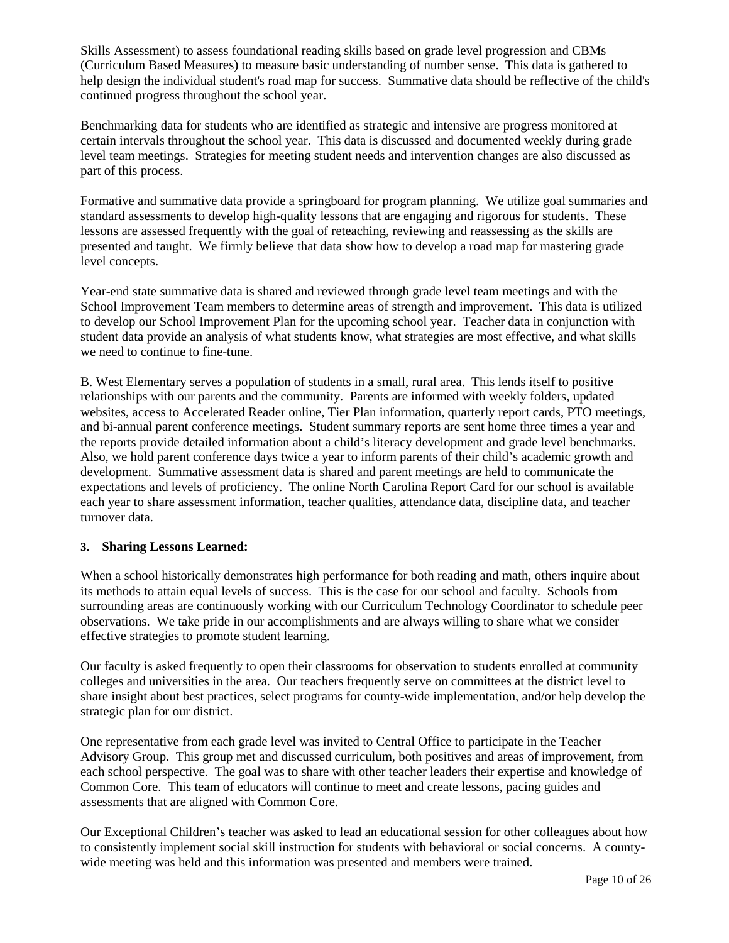Skills Assessment) to assess foundational reading skills based on grade level progression and CBMs (Curriculum Based Measures) to measure basic understanding of number sense. This data is gathered to help design the individual student's road map for success. Summative data should be reflective of the child's continued progress throughout the school year.

Benchmarking data for students who are identified as strategic and intensive are progress monitored at certain intervals throughout the school year. This data is discussed and documented weekly during grade level team meetings. Strategies for meeting student needs and intervention changes are also discussed as part of this process.

Formative and summative data provide a springboard for program planning. We utilize goal summaries and standard assessments to develop high-quality lessons that are engaging and rigorous for students. These lessons are assessed frequently with the goal of reteaching, reviewing and reassessing as the skills are presented and taught. We firmly believe that data show how to develop a road map for mastering grade level concepts.

Year-end state summative data is shared and reviewed through grade level team meetings and with the School Improvement Team members to determine areas of strength and improvement. This data is utilized to develop our School Improvement Plan for the upcoming school year. Teacher data in conjunction with student data provide an analysis of what students know, what strategies are most effective, and what skills we need to continue to fine-tune.

B. West Elementary serves a population of students in a small, rural area. This lends itself to positive relationships with our parents and the community. Parents are informed with weekly folders, updated websites, access to Accelerated Reader online, Tier Plan information, quarterly report cards, PTO meetings, and bi-annual parent conference meetings. Student summary reports are sent home three times a year and the reports provide detailed information about a child's literacy development and grade level benchmarks. Also, we hold parent conference days twice a year to inform parents of their child's academic growth and development. Summative assessment data is shared and parent meetings are held to communicate the expectations and levels of proficiency. The online North Carolina Report Card for our school is available each year to share assessment information, teacher qualities, attendance data, discipline data, and teacher turnover data.

## **3. Sharing Lessons Learned:**

When a school historically demonstrates high performance for both reading and math, others inquire about its methods to attain equal levels of success. This is the case for our school and faculty. Schools from surrounding areas are continuously working with our Curriculum Technology Coordinator to schedule peer observations. We take pride in our accomplishments and are always willing to share what we consider effective strategies to promote student learning.

Our faculty is asked frequently to open their classrooms for observation to students enrolled at community colleges and universities in the area. Our teachers frequently serve on committees at the district level to share insight about best practices, select programs for county-wide implementation, and/or help develop the strategic plan for our district.

One representative from each grade level was invited to Central Office to participate in the Teacher Advisory Group. This group met and discussed curriculum, both positives and areas of improvement, from each school perspective. The goal was to share with other teacher leaders their expertise and knowledge of Common Core. This team of educators will continue to meet and create lessons, pacing guides and assessments that are aligned with Common Core.

Our Exceptional Children's teacher was asked to lead an educational session for other colleagues about how to consistently implement social skill instruction for students with behavioral or social concerns. A countywide meeting was held and this information was presented and members were trained.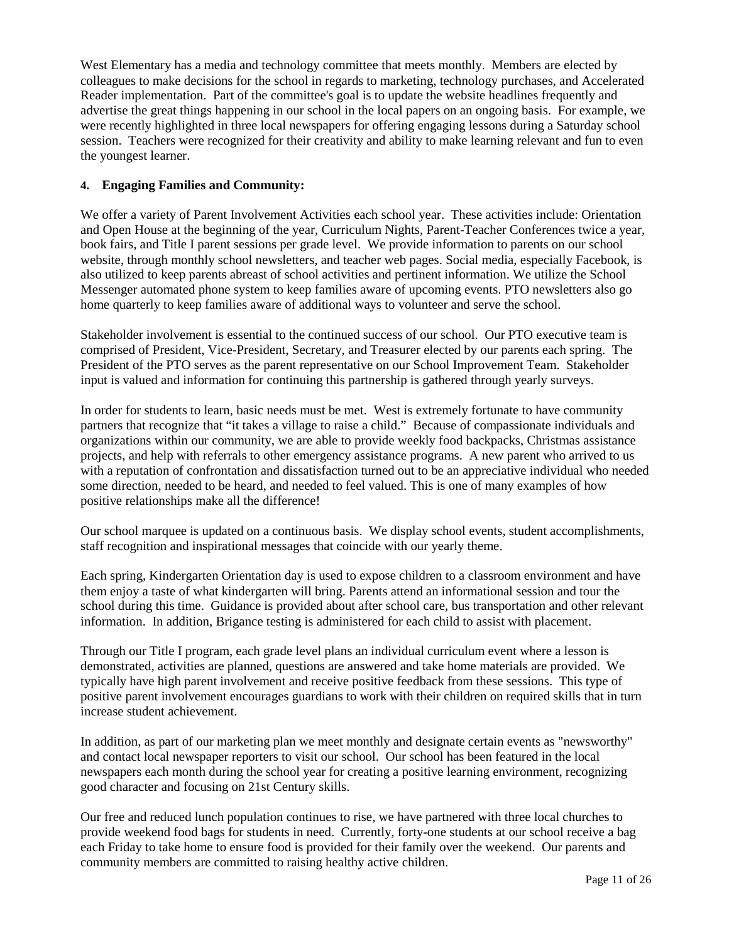West Elementary has a media and technology committee that meets monthly. Members are elected by colleagues to make decisions for the school in regards to marketing, technology purchases, and Accelerated Reader implementation. Part of the committee's goal is to update the website headlines frequently and advertise the great things happening in our school in the local papers on an ongoing basis. For example, we were recently highlighted in three local newspapers for offering engaging lessons during a Saturday school session. Teachers were recognized for their creativity and ability to make learning relevant and fun to even the youngest learner.

#### **4. Engaging Families and Community:**

We offer a variety of Parent Involvement Activities each school year. These activities include: Orientation and Open House at the beginning of the year, Curriculum Nights, Parent-Teacher Conferences twice a year, book fairs, and Title I parent sessions per grade level. We provide information to parents on our school website, through monthly school newsletters, and teacher web pages. Social media, especially Facebook, is also utilized to keep parents abreast of school activities and pertinent information. We utilize the School Messenger automated phone system to keep families aware of upcoming events. PTO newsletters also go home quarterly to keep families aware of additional ways to volunteer and serve the school.

Stakeholder involvement is essential to the continued success of our school. Our PTO executive team is comprised of President, Vice-President, Secretary, and Treasurer elected by our parents each spring. The President of the PTO serves as the parent representative on our School Improvement Team. Stakeholder input is valued and information for continuing this partnership is gathered through yearly surveys.

In order for students to learn, basic needs must be met. West is extremely fortunate to have community partners that recognize that "it takes a village to raise a child." Because of compassionate individuals and organizations within our community, we are able to provide weekly food backpacks, Christmas assistance projects, and help with referrals to other emergency assistance programs. A new parent who arrived to us with a reputation of confrontation and dissatisfaction turned out to be an appreciative individual who needed some direction, needed to be heard, and needed to feel valued. This is one of many examples of how positive relationships make all the difference!

Our school marquee is updated on a continuous basis. We display school events, student accomplishments, staff recognition and inspirational messages that coincide with our yearly theme.

Each spring, Kindergarten Orientation day is used to expose children to a classroom environment and have them enjoy a taste of what kindergarten will bring. Parents attend an informational session and tour the school during this time. Guidance is provided about after school care, bus transportation and other relevant information. In addition, Brigance testing is administered for each child to assist with placement.

Through our Title I program, each grade level plans an individual curriculum event where a lesson is demonstrated, activities are planned, questions are answered and take home materials are provided. We typically have high parent involvement and receive positive feedback from these sessions. This type of positive parent involvement encourages guardians to work with their children on required skills that in turn increase student achievement.

In addition, as part of our marketing plan we meet monthly and designate certain events as "newsworthy" and contact local newspaper reporters to visit our school. Our school has been featured in the local newspapers each month during the school year for creating a positive learning environment, recognizing good character and focusing on 21st Century skills.

Our free and reduced lunch population continues to rise, we have partnered with three local churches to provide weekend food bags for students in need. Currently, forty-one students at our school receive a bag each Friday to take home to ensure food is provided for their family over the weekend. Our parents and community members are committed to raising healthy active children.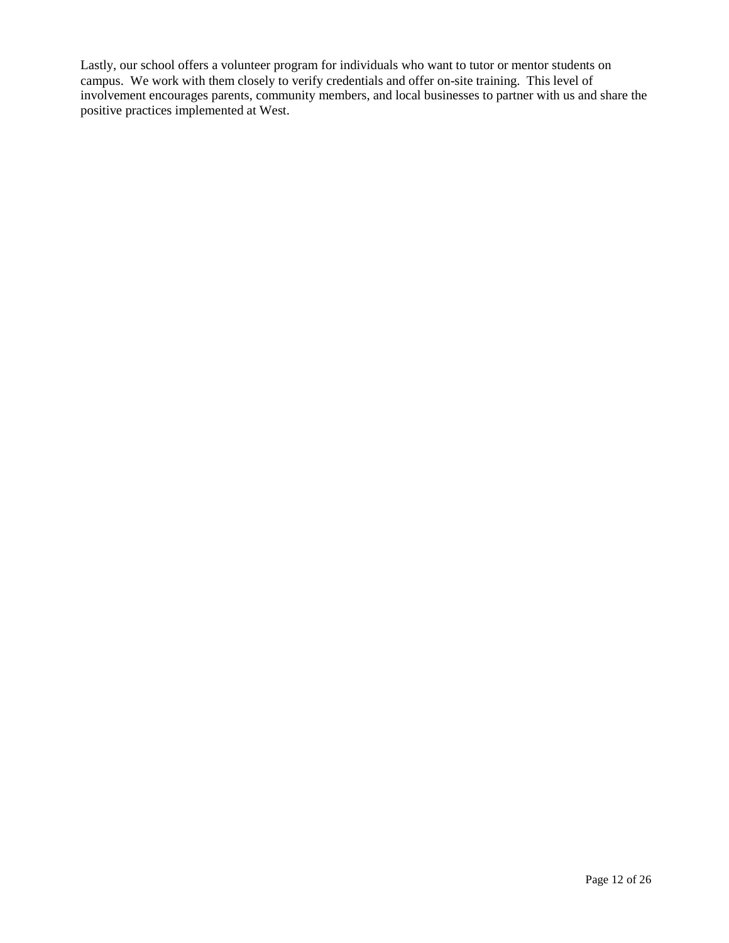Lastly, our school offers a volunteer program for individuals who want to tutor or mentor students on campus. We work with them closely to verify credentials and offer on-site training. This level of involvement encourages parents, community members, and local businesses to partner with us and share the positive practices implemented at West.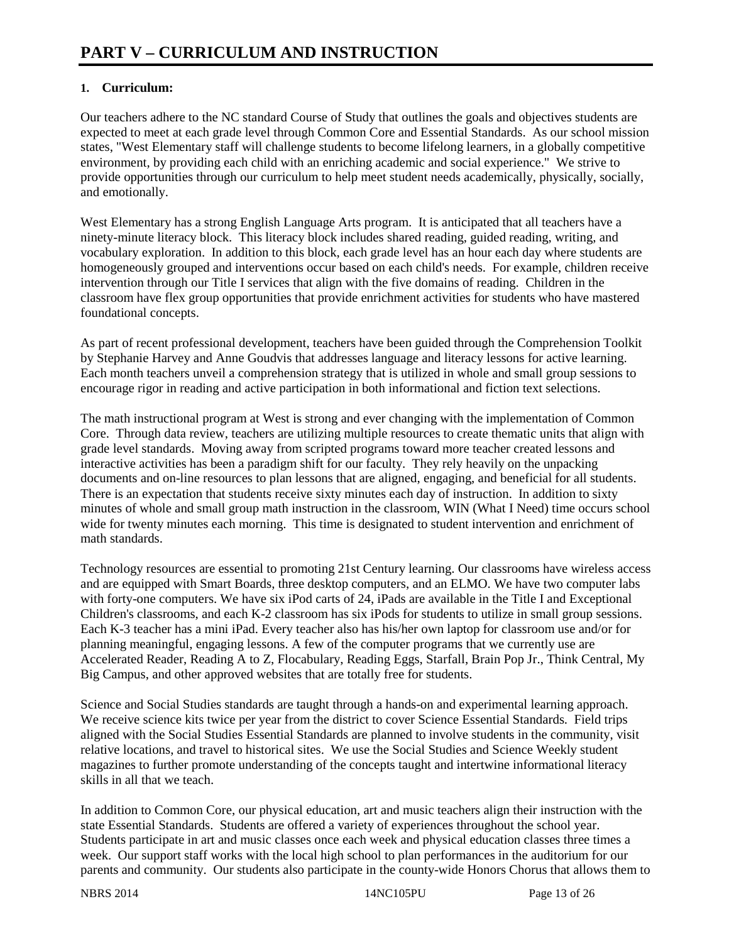# **1. Curriculum:**

Our teachers adhere to the NC standard Course of Study that outlines the goals and objectives students are expected to meet at each grade level through Common Core and Essential Standards. As our school mission states, "West Elementary staff will challenge students to become lifelong learners, in a globally competitive environment, by providing each child with an enriching academic and social experience." We strive to provide opportunities through our curriculum to help meet student needs academically, physically, socially, and emotionally.

West Elementary has a strong English Language Arts program. It is anticipated that all teachers have a ninety-minute literacy block. This literacy block includes shared reading, guided reading, writing, and vocabulary exploration. In addition to this block, each grade level has an hour each day where students are homogeneously grouped and interventions occur based on each child's needs. For example, children receive intervention through our Title I services that align with the five domains of reading. Children in the classroom have flex group opportunities that provide enrichment activities for students who have mastered foundational concepts.

As part of recent professional development, teachers have been guided through the Comprehension Toolkit by Stephanie Harvey and Anne Goudvis that addresses language and literacy lessons for active learning. Each month teachers unveil a comprehension strategy that is utilized in whole and small group sessions to encourage rigor in reading and active participation in both informational and fiction text selections.

The math instructional program at West is strong and ever changing with the implementation of Common Core. Through data review, teachers are utilizing multiple resources to create thematic units that align with grade level standards. Moving away from scripted programs toward more teacher created lessons and interactive activities has been a paradigm shift for our faculty. They rely heavily on the unpacking documents and on-line resources to plan lessons that are aligned, engaging, and beneficial for all students. There is an expectation that students receive sixty minutes each day of instruction. In addition to sixty minutes of whole and small group math instruction in the classroom, WIN (What I Need) time occurs school wide for twenty minutes each morning. This time is designated to student intervention and enrichment of math standards.

Technology resources are essential to promoting 21st Century learning. Our classrooms have wireless access and are equipped with Smart Boards, three desktop computers, and an ELMO. We have two computer labs with forty-one computers. We have six iPod carts of 24, iPads are available in the Title I and Exceptional Children's classrooms, and each K-2 classroom has six iPods for students to utilize in small group sessions. Each K-3 teacher has a mini iPad. Every teacher also has his/her own laptop for classroom use and/or for planning meaningful, engaging lessons. A few of the computer programs that we currently use are Accelerated Reader, Reading A to Z, Flocabulary, Reading Eggs, Starfall, Brain Pop Jr., Think Central, My Big Campus, and other approved websites that are totally free for students.

Science and Social Studies standards are taught through a hands-on and experimental learning approach. We receive science kits twice per year from the district to cover Science Essential Standards. Field trips aligned with the Social Studies Essential Standards are planned to involve students in the community, visit relative locations, and travel to historical sites. We use the Social Studies and Science Weekly student magazines to further promote understanding of the concepts taught and intertwine informational literacy skills in all that we teach.

In addition to Common Core, our physical education, art and music teachers align their instruction with the state Essential Standards. Students are offered a variety of experiences throughout the school year. Students participate in art and music classes once each week and physical education classes three times a week. Our support staff works with the local high school to plan performances in the auditorium for our parents and community. Our students also participate in the county-wide Honors Chorus that allows them to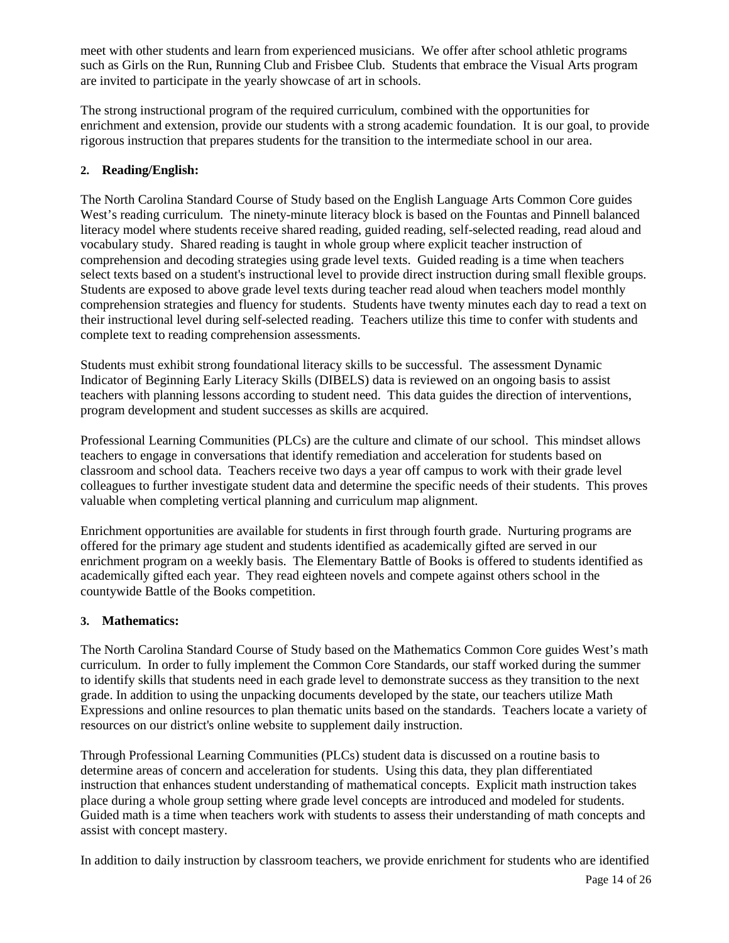meet with other students and learn from experienced musicians. We offer after school athletic programs such as Girls on the Run, Running Club and Frisbee Club. Students that embrace the Visual Arts program are invited to participate in the yearly showcase of art in schools.

The strong instructional program of the required curriculum, combined with the opportunities for enrichment and extension, provide our students with a strong academic foundation. It is our goal, to provide rigorous instruction that prepares students for the transition to the intermediate school in our area.

### **2. Reading/English:**

The North Carolina Standard Course of Study based on the English Language Arts Common Core guides West's reading curriculum. The ninety-minute literacy block is based on the Fountas and Pinnell balanced literacy model where students receive shared reading, guided reading, self-selected reading, read aloud and vocabulary study. Shared reading is taught in whole group where explicit teacher instruction of comprehension and decoding strategies using grade level texts. Guided reading is a time when teachers select texts based on a student's instructional level to provide direct instruction during small flexible groups. Students are exposed to above grade level texts during teacher read aloud when teachers model monthly comprehension strategies and fluency for students. Students have twenty minutes each day to read a text on their instructional level during self-selected reading. Teachers utilize this time to confer with students and complete text to reading comprehension assessments.

Students must exhibit strong foundational literacy skills to be successful. The assessment Dynamic Indicator of Beginning Early Literacy Skills (DIBELS) data is reviewed on an ongoing basis to assist teachers with planning lessons according to student need. This data guides the direction of interventions, program development and student successes as skills are acquired.

Professional Learning Communities (PLCs) are the culture and climate of our school. This mindset allows teachers to engage in conversations that identify remediation and acceleration for students based on classroom and school data. Teachers receive two days a year off campus to work with their grade level colleagues to further investigate student data and determine the specific needs of their students. This proves valuable when completing vertical planning and curriculum map alignment.

Enrichment opportunities are available for students in first through fourth grade. Nurturing programs are offered for the primary age student and students identified as academically gifted are served in our enrichment program on a weekly basis. The Elementary Battle of Books is offered to students identified as academically gifted each year. They read eighteen novels and compete against others school in the countywide Battle of the Books competition.

#### **3. Mathematics:**

The North Carolina Standard Course of Study based on the Mathematics Common Core guides West's math curriculum. In order to fully implement the Common Core Standards, our staff worked during the summer to identify skills that students need in each grade level to demonstrate success as they transition to the next grade. In addition to using the unpacking documents developed by the state, our teachers utilize Math Expressions and online resources to plan thematic units based on the standards. Teachers locate a variety of resources on our district's online website to supplement daily instruction.

Through Professional Learning Communities (PLCs) student data is discussed on a routine basis to determine areas of concern and acceleration for students. Using this data, they plan differentiated instruction that enhances student understanding of mathematical concepts. Explicit math instruction takes place during a whole group setting where grade level concepts are introduced and modeled for students. Guided math is a time when teachers work with students to assess their understanding of math concepts and assist with concept mastery.

In addition to daily instruction by classroom teachers, we provide enrichment for students who are identified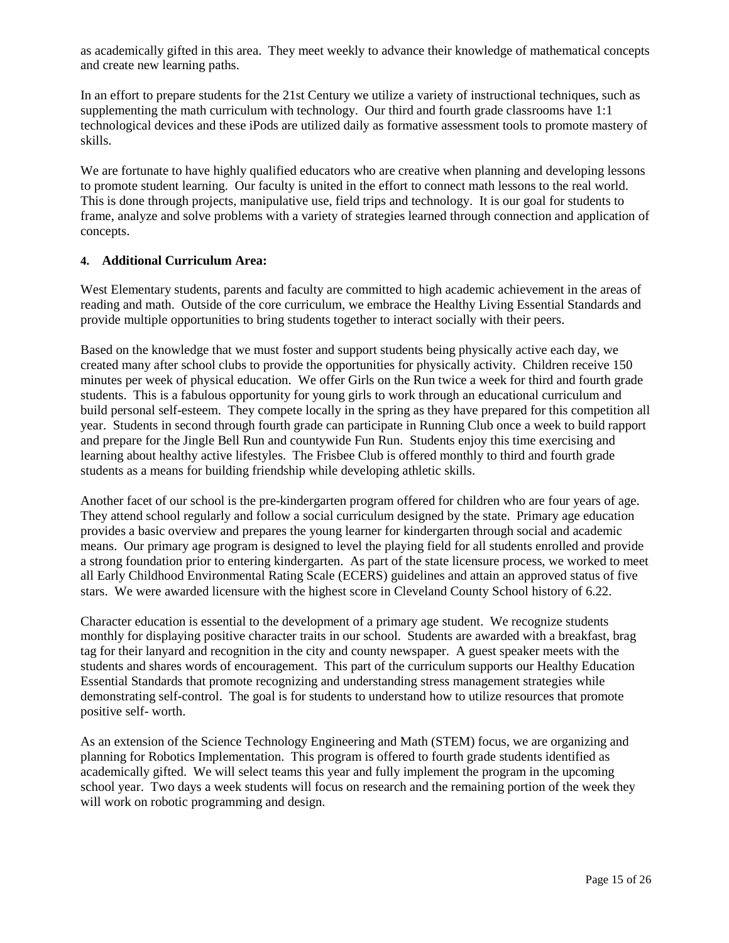as academically gifted in this area. They meet weekly to advance their knowledge of mathematical concepts and create new learning paths.

In an effort to prepare students for the 21st Century we utilize a variety of instructional techniques, such as supplementing the math curriculum with technology. Our third and fourth grade classrooms have 1:1 technological devices and these iPods are utilized daily as formative assessment tools to promote mastery of skills.

We are fortunate to have highly qualified educators who are creative when planning and developing lessons to promote student learning. Our faculty is united in the effort to connect math lessons to the real world. This is done through projects, manipulative use, field trips and technology. It is our goal for students to frame, analyze and solve problems with a variety of strategies learned through connection and application of concepts.

#### **4. Additional Curriculum Area:**

West Elementary students, parents and faculty are committed to high academic achievement in the areas of reading and math. Outside of the core curriculum, we embrace the Healthy Living Essential Standards and provide multiple opportunities to bring students together to interact socially with their peers.

Based on the knowledge that we must foster and support students being physically active each day, we created many after school clubs to provide the opportunities for physically activity. Children receive 150 minutes per week of physical education. We offer Girls on the Run twice a week for third and fourth grade students. This is a fabulous opportunity for young girls to work through an educational curriculum and build personal self-esteem. They compete locally in the spring as they have prepared for this competition all year. Students in second through fourth grade can participate in Running Club once a week to build rapport and prepare for the Jingle Bell Run and countywide Fun Run. Students enjoy this time exercising and learning about healthy active lifestyles. The Frisbee Club is offered monthly to third and fourth grade students as a means for building friendship while developing athletic skills.

Another facet of our school is the pre-kindergarten program offered for children who are four years of age. They attend school regularly and follow a social curriculum designed by the state. Primary age education provides a basic overview and prepares the young learner for kindergarten through social and academic means. Our primary age program is designed to level the playing field for all students enrolled and provide a strong foundation prior to entering kindergarten. As part of the state licensure process, we worked to meet all Early Childhood Environmental Rating Scale (ECERS) guidelines and attain an approved status of five stars. We were awarded licensure with the highest score in Cleveland County School history of 6.22.

Character education is essential to the development of a primary age student. We recognize students monthly for displaying positive character traits in our school. Students are awarded with a breakfast, brag tag for their lanyard and recognition in the city and county newspaper. A guest speaker meets with the students and shares words of encouragement. This part of the curriculum supports our Healthy Education Essential Standards that promote recognizing and understanding stress management strategies while demonstrating self-control. The goal is for students to understand how to utilize resources that promote positive self- worth.

As an extension of the Science Technology Engineering and Math (STEM) focus, we are organizing and planning for Robotics Implementation. This program is offered to fourth grade students identified as academically gifted. We will select teams this year and fully implement the program in the upcoming school year. Two days a week students will focus on research and the remaining portion of the week they will work on robotic programming and design.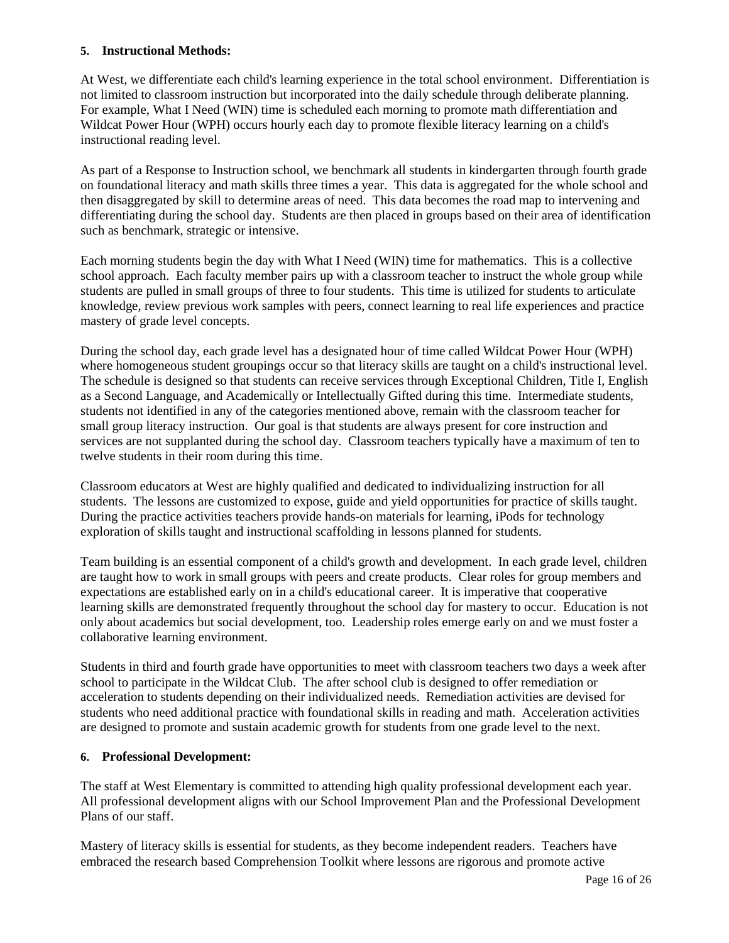#### **5. Instructional Methods:**

At West, we differentiate each child's learning experience in the total school environment. Differentiation is not limited to classroom instruction but incorporated into the daily schedule through deliberate planning. For example, What I Need (WIN) time is scheduled each morning to promote math differentiation and Wildcat Power Hour (WPH) occurs hourly each day to promote flexible literacy learning on a child's instructional reading level.

As part of a Response to Instruction school, we benchmark all students in kindergarten through fourth grade on foundational literacy and math skills three times a year. This data is aggregated for the whole school and then disaggregated by skill to determine areas of need. This data becomes the road map to intervening and differentiating during the school day. Students are then placed in groups based on their area of identification such as benchmark, strategic or intensive.

Each morning students begin the day with What I Need (WIN) time for mathematics. This is a collective school approach. Each faculty member pairs up with a classroom teacher to instruct the whole group while students are pulled in small groups of three to four students. This time is utilized for students to articulate knowledge, review previous work samples with peers, connect learning to real life experiences and practice mastery of grade level concepts.

During the school day, each grade level has a designated hour of time called Wildcat Power Hour (WPH) where homogeneous student groupings occur so that literacy skills are taught on a child's instructional level. The schedule is designed so that students can receive services through Exceptional Children, Title I, English as a Second Language, and Academically or Intellectually Gifted during this time. Intermediate students, students not identified in any of the categories mentioned above, remain with the classroom teacher for small group literacy instruction. Our goal is that students are always present for core instruction and services are not supplanted during the school day. Classroom teachers typically have a maximum of ten to twelve students in their room during this time.

Classroom educators at West are highly qualified and dedicated to individualizing instruction for all students. The lessons are customized to expose, guide and yield opportunities for practice of skills taught. During the practice activities teachers provide hands-on materials for learning, iPods for technology exploration of skills taught and instructional scaffolding in lessons planned for students.

Team building is an essential component of a child's growth and development. In each grade level, children are taught how to work in small groups with peers and create products. Clear roles for group members and expectations are established early on in a child's educational career. It is imperative that cooperative learning skills are demonstrated frequently throughout the school day for mastery to occur. Education is not only about academics but social development, too. Leadership roles emerge early on and we must foster a collaborative learning environment.

Students in third and fourth grade have opportunities to meet with classroom teachers two days a week after school to participate in the Wildcat Club. The after school club is designed to offer remediation or acceleration to students depending on their individualized needs. Remediation activities are devised for students who need additional practice with foundational skills in reading and math. Acceleration activities are designed to promote and sustain academic growth for students from one grade level to the next.

#### **6. Professional Development:**

The staff at West Elementary is committed to attending high quality professional development each year. All professional development aligns with our School Improvement Plan and the Professional Development Plans of our staff.

Mastery of literacy skills is essential for students, as they become independent readers. Teachers have embraced the research based Comprehension Toolkit where lessons are rigorous and promote active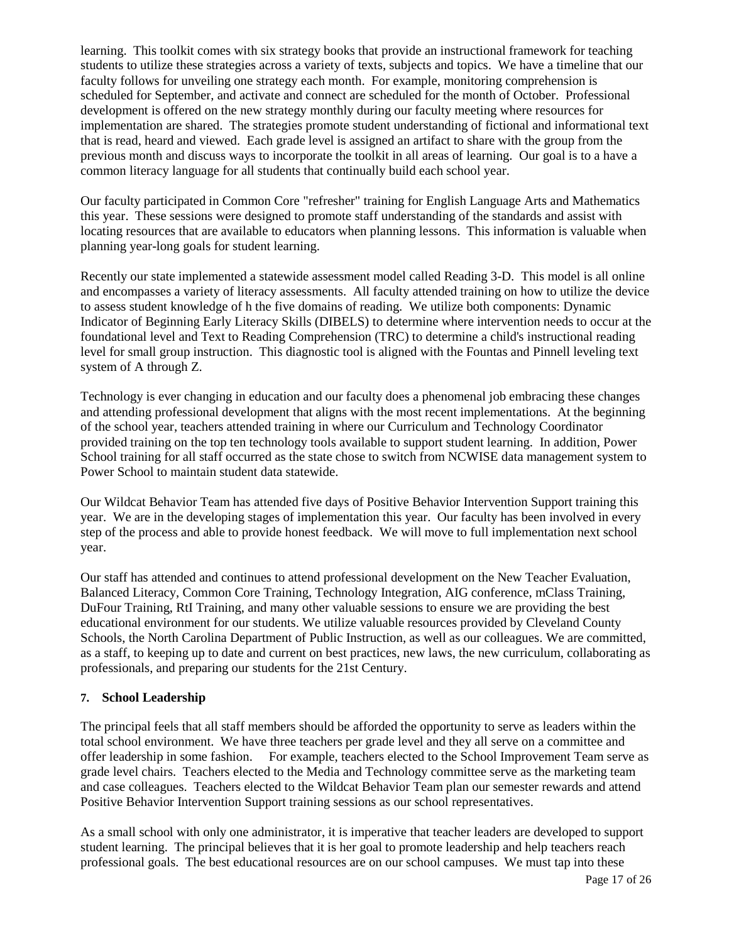learning. This toolkit comes with six strategy books that provide an instructional framework for teaching students to utilize these strategies across a variety of texts, subjects and topics. We have a timeline that our faculty follows for unveiling one strategy each month. For example, monitoring comprehension is scheduled for September, and activate and connect are scheduled for the month of October. Professional development is offered on the new strategy monthly during our faculty meeting where resources for implementation are shared. The strategies promote student understanding of fictional and informational text that is read, heard and viewed. Each grade level is assigned an artifact to share with the group from the previous month and discuss ways to incorporate the toolkit in all areas of learning. Our goal is to a have a common literacy language for all students that continually build each school year.

Our faculty participated in Common Core "refresher" training for English Language Arts and Mathematics this year. These sessions were designed to promote staff understanding of the standards and assist with locating resources that are available to educators when planning lessons. This information is valuable when planning year-long goals for student learning.

Recently our state implemented a statewide assessment model called Reading 3-D. This model is all online and encompasses a variety of literacy assessments. All faculty attended training on how to utilize the device to assess student knowledge of h the five domains of reading. We utilize both components: Dynamic Indicator of Beginning Early Literacy Skills (DIBELS) to determine where intervention needs to occur at the foundational level and Text to Reading Comprehension (TRC) to determine a child's instructional reading level for small group instruction. This diagnostic tool is aligned with the Fountas and Pinnell leveling text system of A through Z.

Technology is ever changing in education and our faculty does a phenomenal job embracing these changes and attending professional development that aligns with the most recent implementations. At the beginning of the school year, teachers attended training in where our Curriculum and Technology Coordinator provided training on the top ten technology tools available to support student learning. In addition, Power School training for all staff occurred as the state chose to switch from NCWISE data management system to Power School to maintain student data statewide.

Our Wildcat Behavior Team has attended five days of Positive Behavior Intervention Support training this year. We are in the developing stages of implementation this year. Our faculty has been involved in every step of the process and able to provide honest feedback. We will move to full implementation next school year.

Our staff has attended and continues to attend professional development on the New Teacher Evaluation, Balanced Literacy, Common Core Training, Technology Integration, AIG conference, mClass Training, DuFour Training, RtI Training, and many other valuable sessions to ensure we are providing the best educational environment for our students. We utilize valuable resources provided by Cleveland County Schools, the North Carolina Department of Public Instruction, as well as our colleagues. We are committed, as a staff, to keeping up to date and current on best practices, new laws, the new curriculum, collaborating as professionals, and preparing our students for the 21st Century.

## **7. School Leadership**

The principal feels that all staff members should be afforded the opportunity to serve as leaders within the total school environment. We have three teachers per grade level and they all serve on a committee and offer leadership in some fashion. For example, teachers elected to the School Improvement Team serve as grade level chairs. Teachers elected to the Media and Technology committee serve as the marketing team and case colleagues. Teachers elected to the Wildcat Behavior Team plan our semester rewards and attend Positive Behavior Intervention Support training sessions as our school representatives.

As a small school with only one administrator, it is imperative that teacher leaders are developed to support student learning. The principal believes that it is her goal to promote leadership and help teachers reach professional goals. The best educational resources are on our school campuses. We must tap into these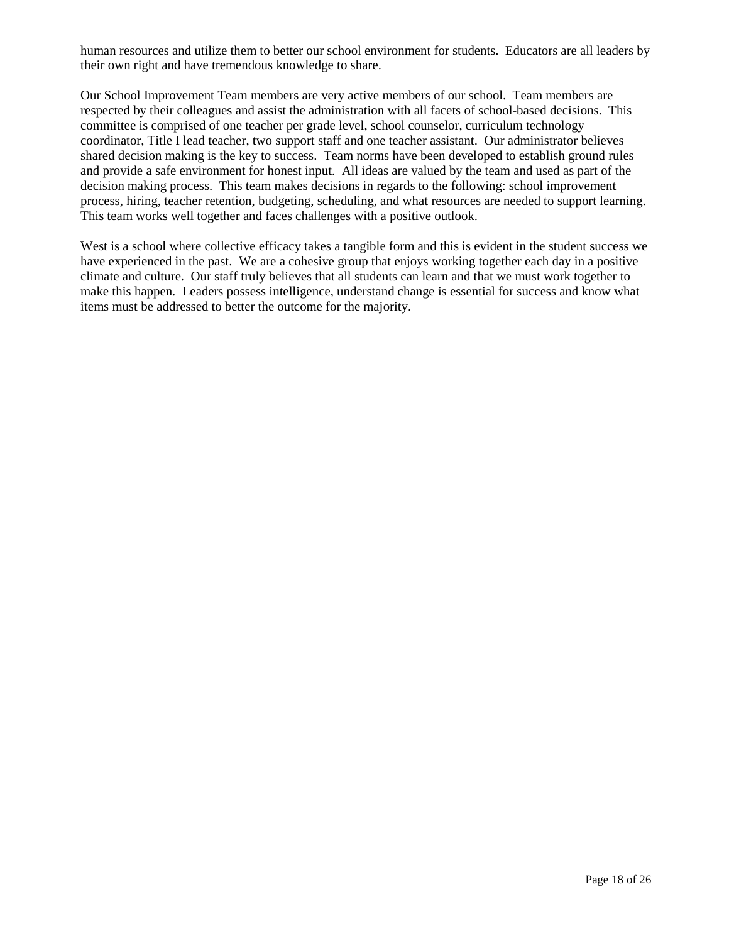human resources and utilize them to better our school environment for students. Educators are all leaders by their own right and have tremendous knowledge to share.

Our School Improvement Team members are very active members of our school. Team members are respected by their colleagues and assist the administration with all facets of school-based decisions. This committee is comprised of one teacher per grade level, school counselor, curriculum technology coordinator, Title I lead teacher, two support staff and one teacher assistant. Our administrator believes shared decision making is the key to success. Team norms have been developed to establish ground rules and provide a safe environment for honest input. All ideas are valued by the team and used as part of the decision making process. This team makes decisions in regards to the following: school improvement process, hiring, teacher retention, budgeting, scheduling, and what resources are needed to support learning. This team works well together and faces challenges with a positive outlook.

West is a school where collective efficacy takes a tangible form and this is evident in the student success we have experienced in the past. We are a cohesive group that enjoys working together each day in a positive climate and culture. Our staff truly believes that all students can learn and that we must work together to make this happen. Leaders possess intelligence, understand change is essential for success and know what items must be addressed to better the outcome for the majority.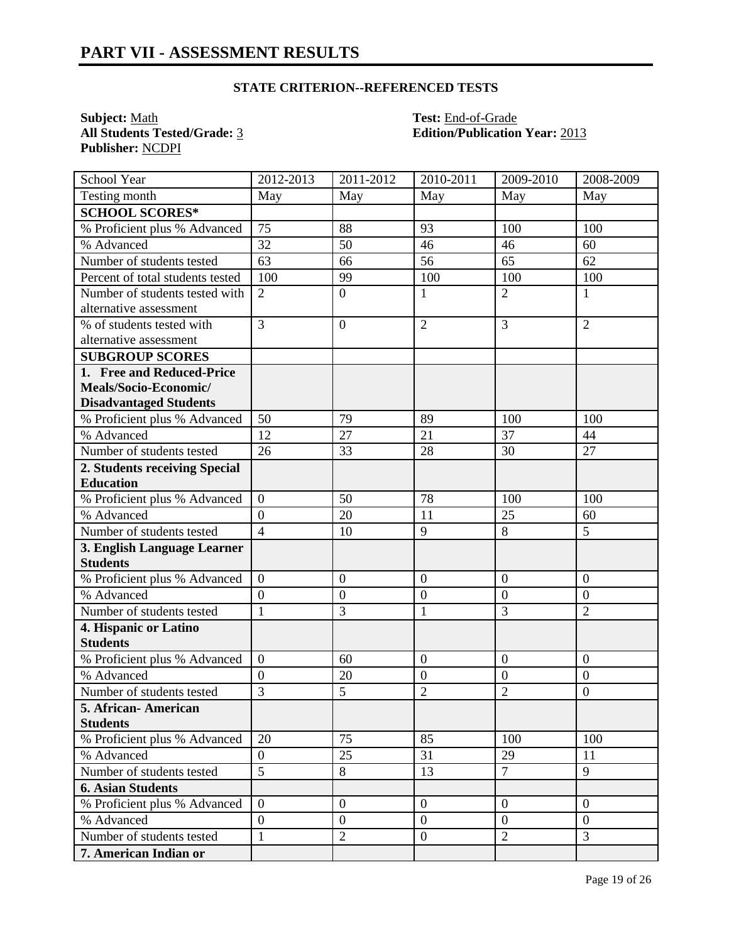# **STATE CRITERION--REFERENCED TESTS**

**Subject:** <u>Math</u><br> **All Students Tested/Grade:** <u>3</u> **Test:** End-of-Grade<br> **All Students Tested/Grade:** 3 **Edition/Publication Publisher:** NCDPI

**All Students Tested/Grade:** 3 **Edition/Publication Year:** 2013

| School Year                      | 2012-2013        | 2011-2012        | 2010-2011        | 2009-2010        | 2008-2009        |
|----------------------------------|------------------|------------------|------------------|------------------|------------------|
| Testing month                    | May              | May              | May              | May              | May              |
| <b>SCHOOL SCORES*</b>            |                  |                  |                  |                  |                  |
| % Proficient plus % Advanced     | 75               | 88               | 93               | 100              | 100              |
| % Advanced                       | 32               | 50               | 46               | 46               | 60               |
| Number of students tested        | 63               | 66               | 56               | 65               | 62               |
| Percent of total students tested | 100              | 99               | 100              | 100              | 100              |
| Number of students tested with   | $\overline{2}$   | $\overline{0}$   | $\mathbf{1}$     | $\overline{2}$   | $\mathbf{1}$     |
| alternative assessment           |                  |                  |                  |                  |                  |
| % of students tested with        | $\overline{3}$   | $\boldsymbol{0}$ | $\overline{2}$   | $\overline{3}$   | $\overline{2}$   |
| alternative assessment           |                  |                  |                  |                  |                  |
| <b>SUBGROUP SCORES</b>           |                  |                  |                  |                  |                  |
| 1. Free and Reduced-Price        |                  |                  |                  |                  |                  |
| Meals/Socio-Economic/            |                  |                  |                  |                  |                  |
| <b>Disadvantaged Students</b>    |                  |                  |                  |                  |                  |
| % Proficient plus % Advanced     | 50               | 79               | 89               | 100              | 100              |
| % Advanced                       | 12               | 27               | 21               | 37               | 44               |
| Number of students tested        | 26               | 33               | 28               | 30               | 27               |
| 2. Students receiving Special    |                  |                  |                  |                  |                  |
| <b>Education</b>                 |                  |                  |                  |                  |                  |
| % Proficient plus % Advanced     | $\overline{0}$   | 50               | 78               | 100              | 100              |
| % Advanced                       | $\overline{0}$   | 20               | 11               | 25               | 60               |
| Number of students tested        | $\overline{4}$   | 10               | 9                | 8                | 5                |
| 3. English Language Learner      |                  |                  |                  |                  |                  |
| <b>Students</b>                  |                  |                  |                  |                  |                  |
| % Proficient plus % Advanced     | $\boldsymbol{0}$ | $\mathbf{0}$     | $\boldsymbol{0}$ | $\boldsymbol{0}$ | $\boldsymbol{0}$ |
| % Advanced                       | $\overline{0}$   | $\boldsymbol{0}$ | $\overline{0}$   | $\overline{0}$   | $\overline{0}$   |
| Number of students tested        | $\mathbf{1}$     | 3                | $\mathbf{1}$     | $\overline{3}$   | $\overline{2}$   |
| 4. Hispanic or Latino            |                  |                  |                  |                  |                  |
| <b>Students</b>                  |                  |                  |                  |                  |                  |
| % Proficient plus % Advanced     | $\overline{0}$   | 60               | $\overline{0}$   | $\overline{0}$   | $\overline{0}$   |
| % Advanced                       | $\overline{0}$   | 20               | $\mathbf{0}$     | $\mathbf{0}$     | $\mathbf{0}$     |
| Number of students tested        | $\overline{3}$   | 5                | $\overline{2}$   | $\overline{2}$   | $\boldsymbol{0}$ |
| 5. African-American              |                  |                  |                  |                  |                  |
| <b>Students</b>                  |                  |                  |                  |                  |                  |
| % Proficient plus % Advanced     | 20               | 75               | 85               | 100              | 100              |
| % Advanced                       | $\overline{0}$   | 25               | 31               | 29               | 11               |
| Number of students tested        | 5                | 8                | 13               | $\overline{7}$   | 9                |
| <b>6. Asian Students</b>         |                  |                  |                  |                  |                  |
| % Proficient plus % Advanced     | $\boldsymbol{0}$ | $\boldsymbol{0}$ | $\mathbf{0}$     | $\overline{0}$   | $\mathbf{0}$     |
| % Advanced                       | $\boldsymbol{0}$ | $\boldsymbol{0}$ | $\boldsymbol{0}$ | $\mathbf{0}$     | $\overline{0}$   |
| Number of students tested        | $\mathbf{1}$     | $\overline{2}$   | $\boldsymbol{0}$ | $\overline{2}$   | $\overline{3}$   |
| 7. American Indian or            |                  |                  |                  |                  |                  |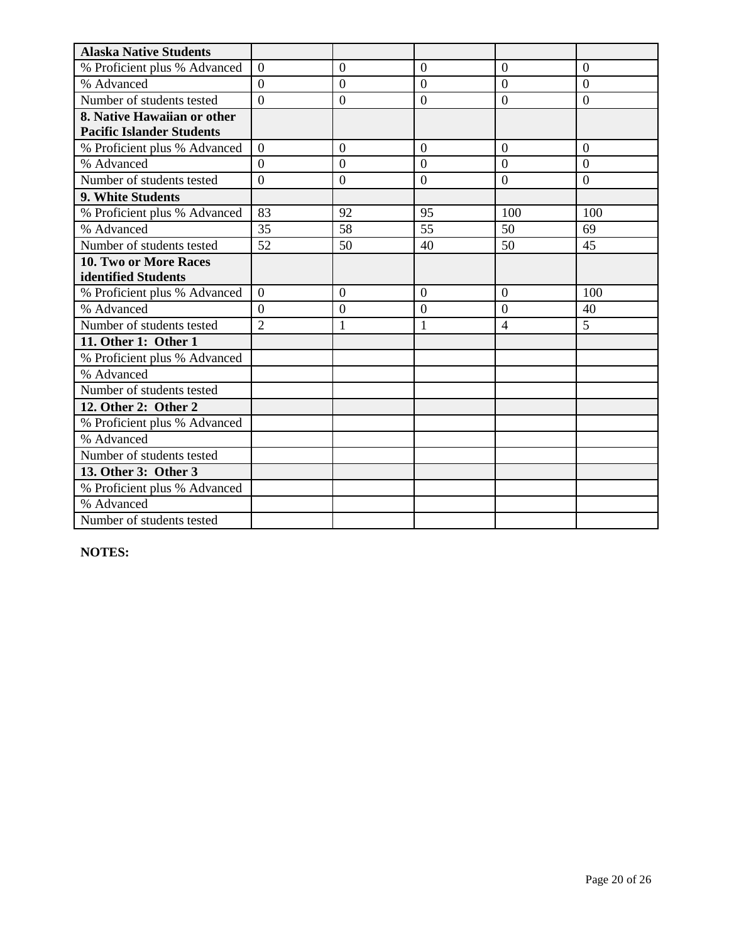| <b>Alaska Native Students</b>    |                |                |                |                |                |
|----------------------------------|----------------|----------------|----------------|----------------|----------------|
| % Proficient plus % Advanced     | $\overline{0}$ | $\overline{0}$ | $\theta$       | $\theta$       | $\overline{0}$ |
| % Advanced                       | $\overline{0}$ | $\overline{0}$ | $\overline{0}$ | $\overline{0}$ | $\overline{0}$ |
| Number of students tested        | $\overline{0}$ | $\overline{0}$ | $\overline{0}$ | $\overline{0}$ | $\overline{0}$ |
| 8. Native Hawaiian or other      |                |                |                |                |                |
| <b>Pacific Islander Students</b> |                |                |                |                |                |
| % Proficient plus % Advanced     | $\overline{0}$ | $\overline{0}$ | $\overline{0}$ | $\overline{0}$ | $\overline{0}$ |
| % Advanced                       | $\theta$       | $\overline{0}$ | $\theta$       | $\theta$       | $\theta$       |
| Number of students tested        | $\theta$       | $\overline{0}$ | $\overline{0}$ | $\overline{0}$ | $\Omega$       |
| 9. White Students                |                |                |                |                |                |
| % Proficient plus % Advanced     | 83             | 92             | 95             | 100            | 100            |
| % Advanced                       | 35             | 58             | 55             | 50             | 69             |
| Number of students tested        | 52             | 50             | 40             | 50             | 45             |
| 10. Two or More Races            |                |                |                |                |                |
| identified Students              |                |                |                |                |                |
| % Proficient plus % Advanced     | $\theta$       | $\Omega$       | $\Omega$       | $\Omega$       | 100            |
| % Advanced                       | $\Omega$       | $\overline{0}$ | $\theta$       | $\overline{0}$ | 40             |
| Number of students tested        | $\overline{2}$ | $\mathbf{1}$   | $\mathbf{1}$   | $\overline{4}$ | 5              |
| 11. Other 1: Other 1             |                |                |                |                |                |
| % Proficient plus % Advanced     |                |                |                |                |                |
| % Advanced                       |                |                |                |                |                |
| Number of students tested        |                |                |                |                |                |
| 12. Other 2: Other 2             |                |                |                |                |                |
| % Proficient plus % Advanced     |                |                |                |                |                |
| % Advanced                       |                |                |                |                |                |
| Number of students tested        |                |                |                |                |                |
| 13. Other 3: Other 3             |                |                |                |                |                |
| % Proficient plus % Advanced     |                |                |                |                |                |
| % Advanced                       |                |                |                |                |                |
| Number of students tested        |                |                |                |                |                |

**NOTES:**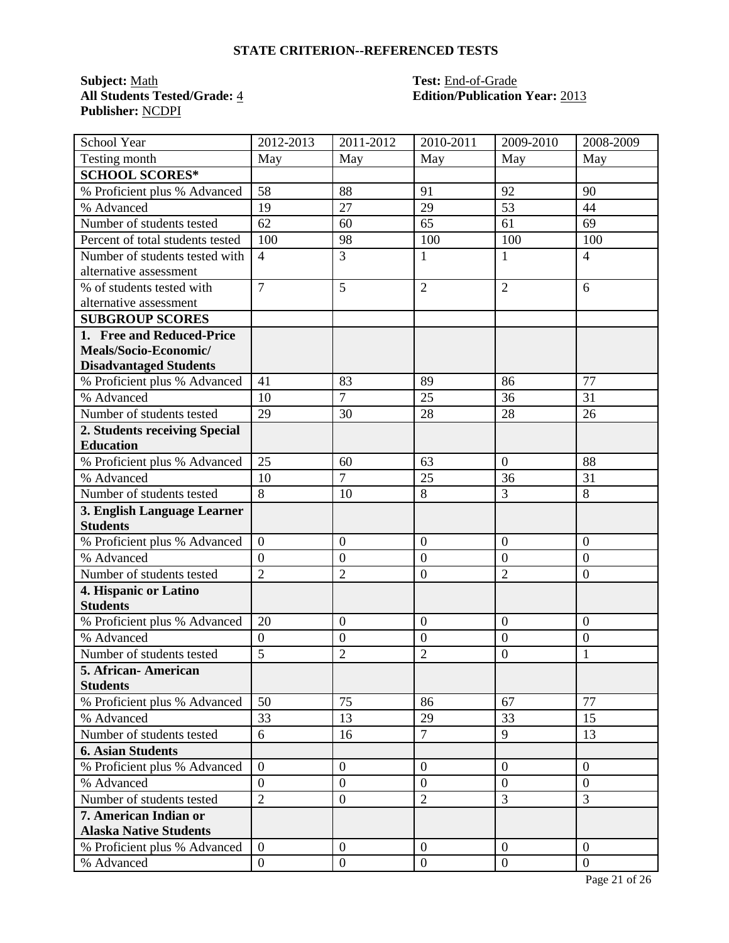# **STATE CRITERION--REFERENCED TESTS**

**Subject:** <u>Math</u><br> **All Students Tested/Grade:** 4 **Test:** End-of-Grade<br> **All Students Tested/Grade:** 4 **Edition/Publication Publisher:** NCDPI

# **All Students Tested/Grade:** 4 **Edition/Publication Year:** 2013

| School Year                                            | 2012-2013        | 2011-2012        | 2010-2011            | 2009-2010        | 2008-2009        |
|--------------------------------------------------------|------------------|------------------|----------------------|------------------|------------------|
| Testing month                                          | May              | May              | May                  | May              | May              |
| <b>SCHOOL SCORES*</b>                                  |                  |                  |                      |                  |                  |
| % Proficient plus % Advanced                           | 58               | 88               | 91                   | 92               | 90               |
| % Advanced                                             | 19               | 27               | 29                   | 53               | 44               |
| Number of students tested                              | 62               | 60               | 65                   | 61               | 69               |
| Percent of total students tested                       | 100              | 98               | 100                  | 100              | 100              |
| Number of students tested with                         | $\overline{4}$   | $\overline{3}$   | $\mathbf{1}$         | 1                | $\overline{4}$   |
| alternative assessment                                 |                  |                  |                      |                  |                  |
| % of students tested with                              | $\overline{7}$   | 5                | $\overline{2}$       | $\overline{2}$   | 6                |
| alternative assessment                                 |                  |                  |                      |                  |                  |
| <b>SUBGROUP SCORES</b>                                 |                  |                  |                      |                  |                  |
| 1. Free and Reduced-Price                              |                  |                  |                      |                  |                  |
| Meals/Socio-Economic/                                  |                  |                  |                      |                  |                  |
| <b>Disadvantaged Students</b>                          |                  |                  |                      |                  |                  |
| % Proficient plus % Advanced                           | 41               | 83               | 89                   | 86               | 77               |
| % Advanced                                             | 10               | $\overline{7}$   | 25                   | 36               | 31               |
| Number of students tested                              | 29               | 30               | 28                   | 28               | 26               |
| 2. Students receiving Special                          |                  |                  |                      |                  |                  |
| <b>Education</b>                                       |                  |                  |                      |                  |                  |
| % Proficient plus % Advanced                           | 25               | 60               | 63                   | $\overline{0}$   | 88               |
| % Advanced                                             | 10               | 7                | 25                   | 36               | 31               |
| Number of students tested                              | 8                | 10               | 8                    | $\overline{3}$   | 8                |
| 3. English Language Learner                            |                  |                  |                      |                  |                  |
| <b>Students</b>                                        |                  |                  |                      |                  |                  |
| % Proficient plus % Advanced                           | $\overline{0}$   | $\boldsymbol{0}$ | $\overline{0}$       | $\overline{0}$   | $\overline{0}$   |
| % Advanced                                             | $\overline{0}$   | $\boldsymbol{0}$ | $\overline{0}$       | $\overline{0}$   | $\mathbf{0}$     |
| Number of students tested                              | $\overline{2}$   | $\overline{2}$   | $\mathbf{0}$         | $\overline{2}$   | $\overline{0}$   |
| 4. Hispanic or Latino                                  |                  |                  |                      |                  |                  |
| <b>Students</b>                                        |                  |                  |                      |                  |                  |
| % Proficient plus % Advanced                           | 20               | $\boldsymbol{0}$ | $\overline{0}$       | $\overline{0}$   | $\overline{0}$   |
| % Advanced                                             | $\overline{0}$   | $\boldsymbol{0}$ | $\overline{0}$       | $\boldsymbol{0}$ | $\boldsymbol{0}$ |
| Number of students tested                              | 5                | $\overline{2}$   | $\overline{2}$       | $\overline{0}$   | 1                |
| 5. African- American                                   |                  |                  |                      |                  |                  |
| <b>Students</b>                                        |                  |                  |                      |                  | 77               |
| % Proficient plus % Advanced                           | 50               | 75               | 86                   | 67               |                  |
| % Advanced                                             | 33               | 13               | 29<br>$\overline{7}$ | 33               | 15               |
| Number of students tested                              | 6                | 16               |                      | 9                | 13               |
| <b>6. Asian Students</b>                               |                  |                  |                      |                  |                  |
| % Proficient plus % Advanced                           | $\boldsymbol{0}$ | $\boldsymbol{0}$ | $\mathbf{0}$         | $\overline{0}$   | $\overline{0}$   |
| % Advanced                                             | $\overline{0}$   | $\overline{0}$   | $\overline{0}$       | $\overline{0}$   | $\overline{0}$   |
| Number of students tested                              | $\overline{2}$   | $\boldsymbol{0}$ | $\overline{2}$       | $\overline{3}$   | 3                |
| 7. American Indian or<br><b>Alaska Native Students</b> |                  |                  |                      |                  |                  |
| % Proficient plus % Advanced                           | $\overline{0}$   | $\overline{0}$   | $\mathbf{0}$         | $\theta$         | $\overline{0}$   |
| % Advanced                                             | $\boldsymbol{0}$ | $\boldsymbol{0}$ | $\mathbf{0}$         | $\overline{0}$   | $\mathbf{0}$     |
|                                                        |                  |                  |                      |                  |                  |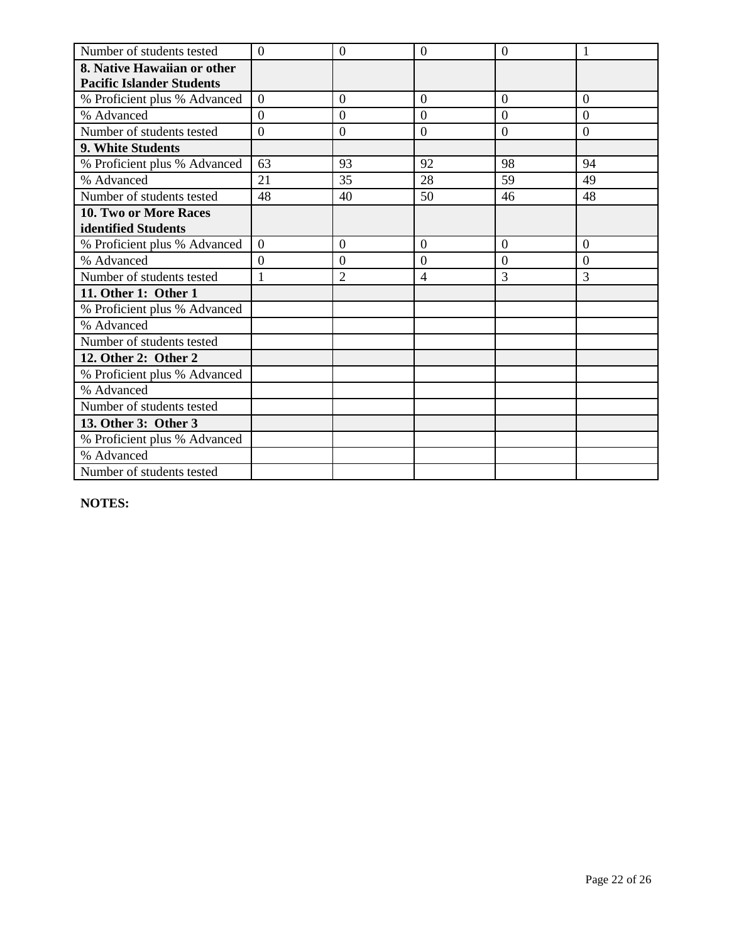| Number of students tested        | $\overline{0}$ | $\theta$       | $\overline{0}$ | $\overline{0}$ | 1              |
|----------------------------------|----------------|----------------|----------------|----------------|----------------|
| 8. Native Hawaiian or other      |                |                |                |                |                |
| <b>Pacific Islander Students</b> |                |                |                |                |                |
| % Proficient plus % Advanced     | $\overline{0}$ | $\overline{0}$ | $\overline{0}$ | $\overline{0}$ | $\Omega$       |
| % Advanced                       | $\Omega$       | $\overline{0}$ | $\Omega$       | $\Omega$       | $\Omega$       |
| Number of students tested        | $\overline{0}$ | $\theta$       | $\overline{0}$ | $\overline{0}$ | $\overline{0}$ |
| 9. White Students                |                |                |                |                |                |
| % Proficient plus % Advanced     | 63             | 93             | 92             | 98             | 94             |
| % Advanced                       | 21             | 35             | 28             | 59             | 49             |
| Number of students tested        | 48             | 40             | 50             | 46             | 48             |
| <b>10. Two or More Races</b>     |                |                |                |                |                |
| identified Students              |                |                |                |                |                |
| % Proficient plus % Advanced     | $\overline{0}$ | $\overline{0}$ | $\overline{0}$ | $\overline{0}$ | $\overline{0}$ |
| % Advanced                       | $\theta$       | $\overline{0}$ | $\overline{0}$ | $\overline{0}$ | $\overline{0}$ |
| Number of students tested        | $\mathbf{1}$   | $\overline{2}$ | $\overline{4}$ | 3              | 3              |
| 11. Other 1: Other 1             |                |                |                |                |                |
| % Proficient plus % Advanced     |                |                |                |                |                |
| % Advanced                       |                |                |                |                |                |
| Number of students tested        |                |                |                |                |                |
| 12. Other 2: Other 2             |                |                |                |                |                |
| % Proficient plus % Advanced     |                |                |                |                |                |
| % Advanced                       |                |                |                |                |                |
| Number of students tested        |                |                |                |                |                |
| 13. Other 3: Other 3             |                |                |                |                |                |
| % Proficient plus % Advanced     |                |                |                |                |                |
| % Advanced                       |                |                |                |                |                |
| Number of students tested        |                |                |                |                |                |

**NOTES:**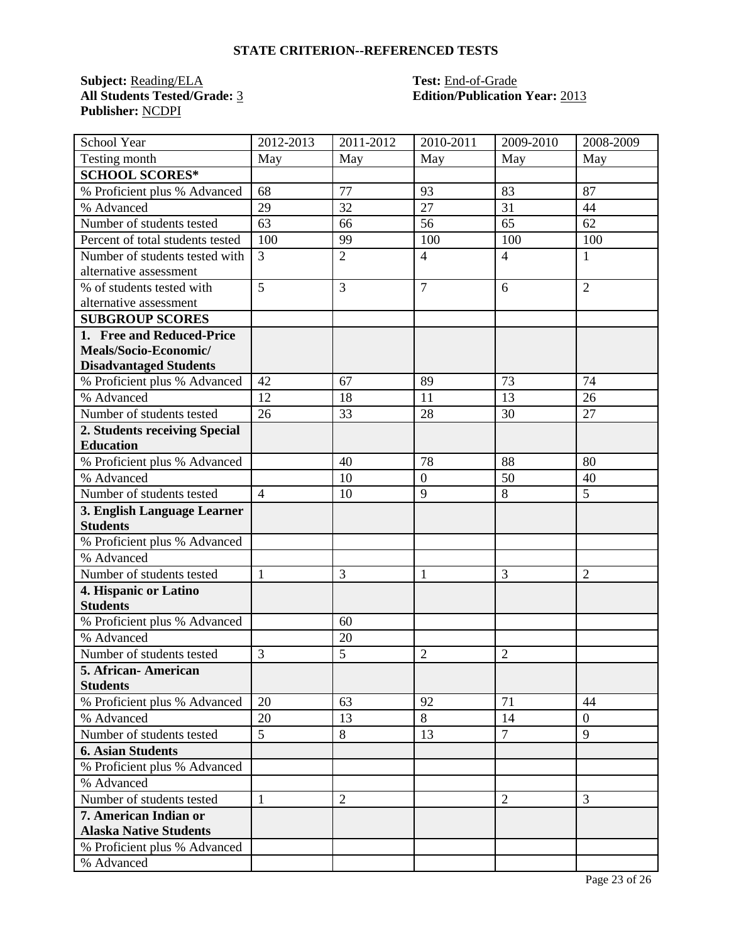# **STATE CRITERION--REFERENCED TESTS**

**Subject:** <u>Reading/ELA</u> **Test:** <u>End-of-Grade</u><br> **All Students Tested/Grade:** <u>3</u> **Call Edition/Publication Publisher:** NCDPI

# **Edition/Publication Year: 2013**

| School Year                      | 2012-2013      | 2011-2012      | 2010-2011      | 2009-2010      | 2008-2009      |
|----------------------------------|----------------|----------------|----------------|----------------|----------------|
| Testing month                    | May            | May            | May            | May            | May            |
| <b>SCHOOL SCORES*</b>            |                |                |                |                |                |
| % Proficient plus % Advanced     | 68             | 77             | 93             | 83             | 87             |
| % Advanced                       | 29             | 32             | 27             | 31             | 44             |
| Number of students tested        | 63             | 66             | 56             | 65             | 62             |
| Percent of total students tested | 100            | 99             | 100            | 100            | 100            |
| Number of students tested with   | $\overline{3}$ | $\overline{2}$ | $\overline{4}$ | $\overline{4}$ | 1              |
| alternative assessment           |                |                |                |                |                |
| % of students tested with        | 5              | 3              | $\overline{7}$ | 6              | $\overline{2}$ |
| alternative assessment           |                |                |                |                |                |
| <b>SUBGROUP SCORES</b>           |                |                |                |                |                |
| 1. Free and Reduced-Price        |                |                |                |                |                |
| Meals/Socio-Economic/            |                |                |                |                |                |
| <b>Disadvantaged Students</b>    |                |                |                |                |                |
| % Proficient plus % Advanced     | 42             | 67             | 89             | 73             | 74             |
| % Advanced                       | 12             | 18             | 11             | 13             | 26             |
| Number of students tested        | 26             | 33             | 28             | 30             | 27             |
| 2. Students receiving Special    |                |                |                |                |                |
| <b>Education</b>                 |                |                |                |                |                |
| % Proficient plus % Advanced     |                | 40             | 78             | 88             | 80             |
| % Advanced                       |                | 10             | $\overline{0}$ | 50             | 40             |
| Number of students tested        | $\overline{4}$ | 10             | 9              | 8              | 5              |
| 3. English Language Learner      |                |                |                |                |                |
| <b>Students</b>                  |                |                |                |                |                |
| % Proficient plus % Advanced     |                |                |                |                |                |
| % Advanced                       |                |                |                |                |                |
| Number of students tested        | $\mathbf{1}$   | 3              | $\mathbf{1}$   | $\overline{3}$ | $\overline{2}$ |
| 4. Hispanic or Latino            |                |                |                |                |                |
| <b>Students</b>                  |                |                |                |                |                |
| % Proficient plus % Advanced     |                | 60             |                |                |                |
| % Advanced                       |                | 20             |                |                |                |
| Number of students tested        | 3              | 5              | $\overline{2}$ | $\overline{2}$ |                |
| 5. African-American              |                |                |                |                |                |
| <b>Students</b>                  |                |                |                |                |                |
| % Proficient plus % Advanced     | 20             | 63             | 92             | 71             | 44             |
| % Advanced                       | 20             | 13             | 8              | 14             | $\overline{0}$ |
| Number of students tested        | $\overline{5}$ | 8              | 13             | $\overline{7}$ | 9              |
| <b>6. Asian Students</b>         |                |                |                |                |                |
| % Proficient plus % Advanced     |                |                |                |                |                |
| % Advanced                       |                |                |                |                |                |
| Number of students tested        | $\mathbf{1}$   | $\overline{2}$ |                | $\overline{2}$ | 3              |
| 7. American Indian or            |                |                |                |                |                |
| <b>Alaska Native Students</b>    |                |                |                |                |                |
| % Proficient plus % Advanced     |                |                |                |                |                |
| % Advanced                       |                |                |                |                |                |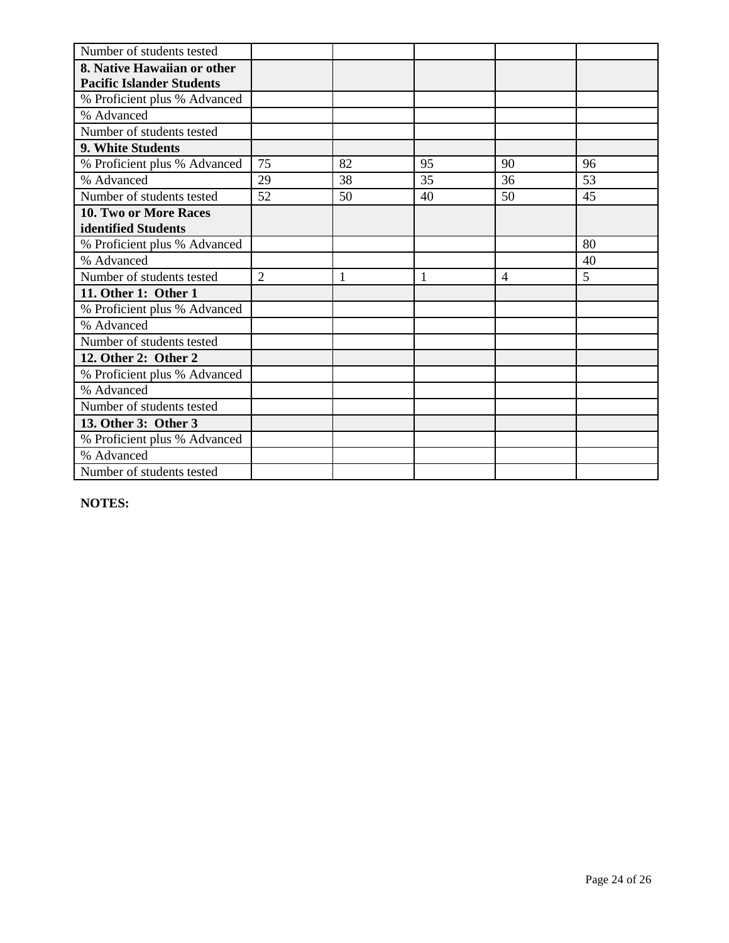| Number of students tested        |                |    |    |                |    |
|----------------------------------|----------------|----|----|----------------|----|
| 8. Native Hawaiian or other      |                |    |    |                |    |
| <b>Pacific Islander Students</b> |                |    |    |                |    |
| % Proficient plus % Advanced     |                |    |    |                |    |
| % Advanced                       |                |    |    |                |    |
| Number of students tested        |                |    |    |                |    |
| 9. White Students                |                |    |    |                |    |
| % Proficient plus % Advanced     | 75             | 82 | 95 | 90             | 96 |
| % Advanced                       | 29             | 38 | 35 | 36             | 53 |
| Number of students tested        | 52             | 50 | 40 | 50             | 45 |
| <b>10. Two or More Races</b>     |                |    |    |                |    |
| identified Students              |                |    |    |                |    |
| % Proficient plus % Advanced     |                |    |    |                | 80 |
| % Advanced                       |                |    |    |                | 40 |
| Number of students tested        | $\overline{2}$ | 1  | 1  | $\overline{4}$ | 5  |
| 11. Other 1: Other 1             |                |    |    |                |    |
| % Proficient plus % Advanced     |                |    |    |                |    |
| % Advanced                       |                |    |    |                |    |
| Number of students tested        |                |    |    |                |    |
| 12. Other 2: Other 2             |                |    |    |                |    |
| % Proficient plus % Advanced     |                |    |    |                |    |
| % Advanced                       |                |    |    |                |    |
| Number of students tested        |                |    |    |                |    |
| 13. Other 3: Other 3             |                |    |    |                |    |
| % Proficient plus % Advanced     |                |    |    |                |    |
| % Advanced                       |                |    |    |                |    |
| Number of students tested        |                |    |    |                |    |

**NOTES:**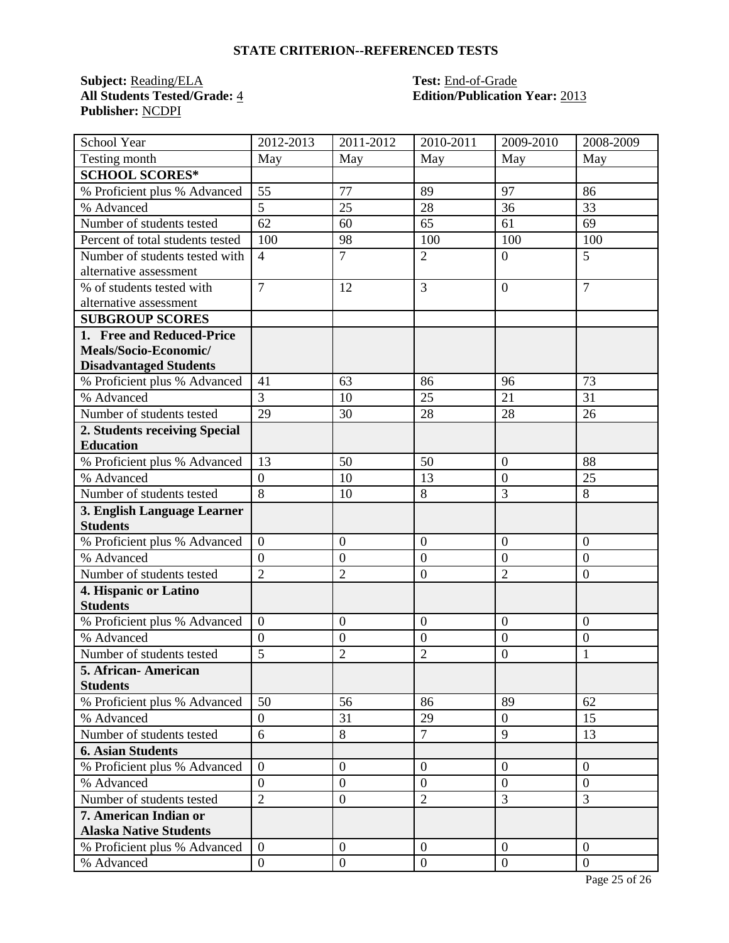# **STATE CRITERION--REFERENCED TESTS**

**Subject:** <u>Reading/ELA</u> **Test:** <u>End-of-Grade</u><br> **All Students Tested/Grade:** 4 **Edition/Publication Publisher:** NCDPI

# **All Students Tested/Grade:** 4 **Edition/Publication Year:** 2013

| School Year                      | 2012-2013        | 2011-2012        | 2010-2011      | 2009-2010        | 2008-2009      |
|----------------------------------|------------------|------------------|----------------|------------------|----------------|
| Testing month                    | May              | May              | May            | May              | May            |
| <b>SCHOOL SCORES*</b>            |                  |                  |                |                  |                |
| % Proficient plus % Advanced     | 55               | 77               | 89             | 97               | 86             |
| % Advanced                       | 5                | 25               | 28             | 36               | 33             |
| Number of students tested        | 62               | 60               | 65             | 61               | 69             |
| Percent of total students tested | 100              | 98               | 100            | 100              | 100            |
| Number of students tested with   | $\overline{4}$   | $\overline{7}$   | $\overline{2}$ | $\overline{0}$   | 5              |
| alternative assessment           |                  |                  |                |                  |                |
| % of students tested with        | $\overline{7}$   | 12               | $\overline{3}$ | $\overline{0}$   | $\overline{7}$ |
| alternative assessment           |                  |                  |                |                  |                |
| <b>SUBGROUP SCORES</b>           |                  |                  |                |                  |                |
| 1. Free and Reduced-Price        |                  |                  |                |                  |                |
| Meals/Socio-Economic/            |                  |                  |                |                  |                |
| <b>Disadvantaged Students</b>    |                  |                  |                |                  |                |
| % Proficient plus % Advanced     | 41               | 63               | 86             | 96               | 73             |
| % Advanced                       | $\overline{3}$   | 10               | 25             | 21               | 31             |
| Number of students tested        | 29               | 30               | 28             | 28               | 26             |
| 2. Students receiving Special    |                  |                  |                |                  |                |
| <b>Education</b>                 |                  |                  |                |                  |                |
| % Proficient plus % Advanced     | 13               | 50               | 50             | $\overline{0}$   | 88             |
| % Advanced                       | $\boldsymbol{0}$ | 10               | 13             | $\boldsymbol{0}$ | 25             |
| Number of students tested        | $\overline{8}$   | 10               | 8              | $\overline{3}$   | 8              |
| 3. English Language Learner      |                  |                  |                |                  |                |
| <b>Students</b>                  |                  |                  |                |                  |                |
| % Proficient plus % Advanced     | $\overline{0}$   | $\boldsymbol{0}$ | $\overline{0}$ | $\overline{0}$   | $\overline{0}$ |
| % Advanced                       | $\overline{0}$   | $\boldsymbol{0}$ | $\overline{0}$ | $\overline{0}$   | $\mathbf{0}$   |
| Number of students tested        | $\overline{2}$   | $\overline{2}$   | $\mathbf{0}$   | $\overline{2}$   | $\overline{0}$ |
| 4. Hispanic or Latino            |                  |                  |                |                  |                |
| <b>Students</b>                  |                  |                  |                |                  |                |
| % Proficient plus % Advanced     | $\boldsymbol{0}$ | $\boldsymbol{0}$ | $\overline{0}$ | $\overline{0}$   | $\overline{0}$ |
| % Advanced                       | $\overline{0}$   | $\mathbf{0}$     | $\overline{0}$ | $\boldsymbol{0}$ | $\mathbf{0}$   |
| Number of students tested        | 5                | $\overline{2}$   | $\overline{2}$ | $\overline{0}$   | 1              |
| 5. African-American              |                  |                  |                |                  |                |
| <b>Students</b>                  |                  |                  |                |                  |                |
| % Proficient plus % Advanced     | 50               | 56               | 86             | 89               | 62             |
| % Advanced                       | $\overline{0}$   | 31               | 29             | $\theta$         | 15             |
| Number of students tested        | $\overline{6}$   | 8                | $\overline{7}$ | 9                | 13             |
| <b>6. Asian Students</b>         |                  |                  |                |                  |                |
| % Proficient plus % Advanced     | $\boldsymbol{0}$ | $\boldsymbol{0}$ | $\mathbf{0}$   | $\overline{0}$   | $\overline{0}$ |
| % Advanced                       | $\overline{0}$   | $\overline{0}$   | $\overline{0}$ | $\overline{0}$   | $\overline{0}$ |
| Number of students tested        | $\overline{2}$   | $\boldsymbol{0}$ | $\overline{2}$ | $\overline{3}$   | 3              |
| 7. American Indian or            |                  |                  |                |                  |                |
| <b>Alaska Native Students</b>    |                  |                  |                |                  |                |
| % Proficient plus % Advanced     | $\overline{0}$   | $\overline{0}$   | $\mathbf{0}$   | $\theta$         | $\overline{0}$ |
| % Advanced                       | $\boldsymbol{0}$ | $\boldsymbol{0}$ | $\mathbf{0}$   | $\overline{0}$   | $\mathbf{0}$   |